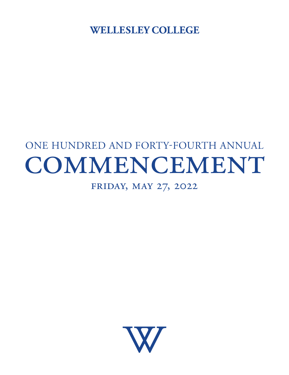WELLESLEY COLLEGE

# ONE HUNDRED AND FORTY-FOURTH ANNUAL COMMENCEMENT

# Friday, May 27, 2022

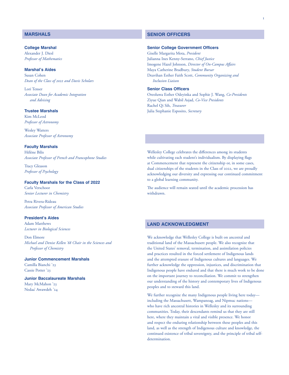# **MARSHALS**

# **College Marshal**  Alexander J. Diesl *Professor of Mathematics*

# **Marshal's Aides**

Susan Cohen *Dean of the Class of 2022 and Davis Scholars* 

Lori Tenser *Associate Dean for Academic Integration and Advising* 

# **Trustee Marshals**

Kim McLeod *Professor of Astronomy* 

Wesley Watters *Associate Professor of Astronomy* 

# **Faculty Marshals**

Hélène Bilis *Associate Professor of French and Francophone Studies* 

Tracy Gleason *Professor of Psychology* 

# **Faculty Marshals for the Class of 2022**

Carla Verschoor *Senior Lecturer in Chemistry* 

Petra Rivera-Rideau *Associate Professor of American Studies* 

# **President's Aides**

Adam Matthews *Lecturer in Biological Sciences* 

Don Elmore *Michael and Denise Kellen '68 Chair in the Sciences and Professor of Chemistry* 

**Junior Commencement Marshals**  Camilla Bianchi '23 Cassie Potter '23

# **Junior Baccalaureate Marshals**  Mary McMahon '23

Nedaa' Awawdeh '24

# **SENIOR OFFICERS**

# **Senior College Government Officers**

Giselle Margarita Mota, *President*  Julianna Ines Kenny-Serrano, *Chief Justice*  Imogene Hazel Johnson, *Director of On-Campus Afairs*  Maya Catherine Bradbury, *Student Bursar*  Deavihan Esther Faith Scott, *Community Organizing and Inclusion Liaison* 

# **Senior Class Officers**

Oreoluwa Esther Odeyinka and Sophie J. Wang, *Co-Presidents*  Ziyue Qian and Wabil Asjad, *Co-Vice Presidents*  Rachel Qi Sih, *Treasurer*  Julia Stephanie Esposito, *Secretary* 

Wellesley College celebrates the diferences among its students while cultivating each student's individualism. By displaying flags at Commencement that represent the citizenship or, in some cases, dual citizenships of the students in the Class of 2022, we are proudly acknowledging our diversity and expressing our continued commitment to a global learning community.

The audience will remain seated until the academic procession has withdrawn.

# **LAND ACKNOWLEDGMENT**

We acknowledge that Wellesley College is built on ancestral and traditional land of the Massachusett people. We also recognize that the United States' removal, termination, and assimilation policies and practices resulted in the forced settlement of Indigenous lands and the attempted erasure of Indigenous cultures and languages. We further acknowledge the oppression, injustices, and discrimination that Indigenous people have endured and that there is much work to be done on the important journey to reconciliation. We commit to strengthen our understanding of the history and contemporary lives of Indigenous peoples and to steward this land.

We further recognize the many Indigenous people living here today including the Massachusett, Wampanoag, and Nipmuc nations who have rich ancestral histories in Wellesley and its surrounding communities. Today, their descendants remind us that they are still here, where they maintain a vital and visible presence. We honor and respect the enduring relationship between these peoples and this land, as well as the strength of Indigenous culture and knowledge, the continued existence of tribal sovereignty, and the principle of tribal selfdetermination.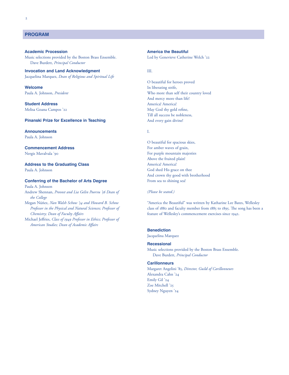# **PROGRAM**

Music selections provided by the Boston Brass Ensemble. Led by Genevieve Catherine Welch '22 Dave Burdett, *Principal Conductor* 

**Invocation and Land Acknowledgment** *III.* Jacquelina Marquez, *Dean of Religious and Spiritual Life* 

**Welcome** In liberating strife,

**Student Address America!** America! America! America! Melisa Goana Campos '22 May God thy gold refine,

# **Pinanski Prize for Excellence in Teaching and Servery 2018** And every gain divine!

**Announcements** I.

Paula A. Johnson

Address to the Graduating Class **Americal America!** America! America!

# **Conferring of the Bachelor of Arts Degree** From sea to shining sea!

Paula A. Johnson Andrew Shennan, *Provost and Lia Gelin Poorvu '56 Dean of (Please be seated.) the College* 

Michael Jefries, *Class of 1949 Professor in Ethics; Professor of American Studies; Dean of Academic Afairs* 

# **Academic Procession America the Beautiful**

O beautiful for heroes proved Paula A. Johnson, *President* **Who more than self their country loved** And mercy more than life! Till all success be nobleness,

O beautiful for spacious skies, **Commencement Address For amber waves of grain,** Nergis Mavalvala '90 For purple mountain majesties Above the fruited plain! Paula A. Johnson God shed His grace on thee And crown thy good with brotherhood

Megan N úñez, *Nan Walsh Schow '54 and Howard B. Schow* "America the Beautiful" was written by Katharine Lee Bates, Wellesley *Professor in the Physical and Natural Sciences; Professor of* class of 1880 and faculty member from 1885 to 1895. The song has been a *Chemistry; Dean of Faculty Afairs* feature of Wellesley's commencement exercises since 1942.

# **Benediction**

Jacquelina Marquez

# **Recessional**

Music selections provided by the Boston Brass Ensemble. Dave Burdett, *Principal Conductor* 

# **Carillonneurs**

Margaret Angelini '85, *Director, Guild of Carillonneurs*  Alexandra Cahn '24 Emily Gil '24 Zoe Mitchell '25 Sydney Nguyen '24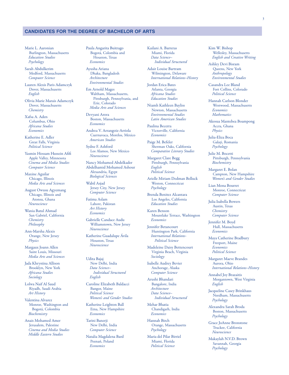# **CANDIDATES FOR THE DEGREE OF BACHELOR OF ARTS**

Marie L. Aaronian Burlington, Massachusetts *Education Studies Psychology* 

Sarah Abdulkerim Medford, Massachusetts *Computer Science* 

Lauren Alexis Paris Adamczyk Dover, Massachusetts *English* 

Olivia Marie Marais Adamczyk Dover, Massachusetts *Chemistry* 

Xafsa A. Aden Columbus, Ohio *Africana Studies Economics* 

Katherine E. Adler Great Falls, Virginia *Political Science* 

Yasmin Hossam Hussein Aff Apple Valley, Minnesota *Cinema and Media Studies Computer Science* 

Maxine Aguilar Chicago, Illinois *Media Arts and Sciences* 

August Owusu Agyemang Chicago, Illinois and Atonsu, Ghana *Neuroscience* 

Wania Batul Ahmad San Gabriel, California *Chemistry Philosophy* 

Ann-Marsha Alexis Orange, New Jersey *Physics* 

Margaux Joann Allen Saint Louis, Missouri *Media Arts and Sciences* 

Jada Khrystina Allison Brooklyn, New York *Africana Studies Sociology* 

Lolwa Naif Al Saud Riyadh, Saudi Arabia *Art History* 

Valentina Alvarez Monroe, Washington and Bogotá, Colombia *Biochemistry* 

Anais Mohamed Amer Jerusalem, Palestine *Cinema and Media Studies Middle Eastern Studies* 

Paula Angarita Buitrago Bogotá, Colombia and Houston, Texas *Economics* 

Ayusha Ariana Dhaka, Bangladesh *Architecture Environmental Studies* 

Em Arnold Mages Waltham, Massachusetts, Pittsburgh, Pennsylvania, and Erie, Colorado *Media Arts and Sciences* 

Devyani Arora Boston, Massachusetts *Economics* 

Andrea V. Arrangoiz-Arriola Cuernavaca, Morelos, Mexico *American Studies* 

Sydne F. Ashford Los Alamos, New Mexico *Neuroscience* 

Nancy Mohamed Abdelkader Abdelhamid Mohamed Ashour Alexandria, Egypt *Biological Sciences* 

Wabil Asjad Jersey City, New Jersey *Computer Science* 

Fatima Aslam Lahore, Pakistan *Art History Economics* 

Gabrielle Candace Audu Williamstown, New Jersey *Neuroscience* 

Katherine Guadalupe Ávila Houston, Texas *Neuroscience* 

Udita Bajaj New Delhi, India *Data Science– Individual Structured English* 

Caroline Elizabeth Baldacci Bangor, Maine *Political Science Women's and Gender Studies* 

Katherine Leighton Ball Etna, New Hampshire *Economics* 

Tarini Banerji New Delhi, India *Computer Science* 

Natalia Magdalena Bard Poznań, Poland *Economics* 

Kailani A. Barreras Miami, Florida *Data Science– Individual Structured* 

Adair Louise Bartram Wilmington, Delaware *International Relations–History* 

Jordan Erica Bates Atlanta, Georgia *Africana Studies Education Studies* 

Niamh Kathleen Bayliss Newton, Massachusetts *Environmental Studies Latin American Studies* 

Paulina Becerra Victorville, California *Economics* 

Paige M. Befeler Sherman Oaks, California *Comparative Literary Studies* 

Margaret Clare Begg Pittsburgh, Pennsylvania *English Political Science* 

Arielle Miriam Dedman Belluck Weston, Connecticut *Psychology* 

Brenda Benitez Alcantara Los Angeles, California *Education Studies* 

Karen Benson Mountlake Terrace, Washington *Economics* 

Jennifer Betancourt Huntington Park, California *International Relations-Political Science* 

Madeleine Daisy Bettencourt Virginia Beach, Virginia *Sociology* 

Isabelle Audrey Bevier Anchorage, Alaska *Computer Science* 

Arushi Bhandari Bangalore, India *Architecture Data Science– Individual Structured* 

Mehar Bhatia Chandigarh, India *Economics* 

Hannah Birch Orange, Massachusetts *Psychology* 

Maria del Pilar Birriel Miami, Florida *Political Science* 

Kim W. Bishop Wellesley, Massachusetts *English and Creative Writing* 

Ashley Devi Bisram Queens, New York *Anthropology Environmental Studies* 

Casandra Lee Bland Fort Collins, Colorado *Political Science* 

Hannah Carlson Blonder Westwood, Massachusetts *Economics Mathematics* 

Akosua Mantebea Boampong Accra, Ghana *Physics* 

Julia-Eliza Boca Galați, Romania *Psychology* 

Julie M. Bocetti Pittsburgh, Pennsylvania *Biochemistry* 

Margaret E. Bolan Campton, New Hampshire *Women's and Gender Studies* 

Lian Mona Bourret Monroe, Connecticut *Computer Science* 

Julia Isabella Bowers Austin, Texas *Chemistry Computer Science* 

Jennifer M. Boyd Hull, Massachusetts *Economics* 

Maya Catherine Bradbury Freeport, Maine *Economics Political Science* 

Margaret Maeve Brandes Aurora, Ohio *International Relations–History* 

Annabel Joy Brazaitis Morgantown, West Virginia *English* 

Jacqueline Casey Brinkhaus Needham, Massachusetts *Psychology* 

Alexandra Sarah Broda Boston, Massachusetts *Psychology* 

Grace JoAnne Bronstone Truckee, California *Neuroscience* 

Makaylah N.V.D. Brown Savannah, Georgia *Psychology*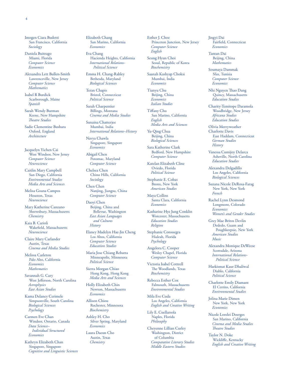Imogen Ciara Budetti San Francisco, California

*Sociology* 

Daniela Buitrago Miami, Florida *Computer Science Economics* 

Alexandra Lett Bullen-Smith Lawrenceville, New Jersey *Computer Science Mathematics* 

Isabel R Burdick Scarborough, Maine *Spanish* 

Sarah Wendy Burman Keene, New Hampshire **Theatre Studies** 

Sadie Clementine Bushara Oxford, England *Architecture* 

Jacquelyn Yichen Cai West Windsor, New Jersey *Computer Science Neuroscience* 

Caitlin Mary Campbell San Diego, California *Environmental Studies Media Arts and Sciences* 

Melisa Goana Campos Houston, Texas *Neuroscience* 

Mary Katherine Canzano Shrewsbury, Massachusetts *Chemistry* 

Kaia B. Carioli Wakefeld, Massachusetts *Neuroscience* 

Claire Mary Carlander Austin, Texas *Cinema and Media Studies* 

Melissa Carleton Palo Alto, California *Economics Mathematics* 

Savannah G. Cary West Jefferson, North Carolina *Astrophysics East Asian Studies* 

Kama Delaney Cerimele Simpsonville, South Carolina *Biological Sciences Psychology* 

Carmen Eve Chan Windsor, Ontario, Canada *Data Science– Individual Structured Economics* 

Kathryn Elizabeth Chan Singapore, Singapore *Cognitive and Linguistic Sciences*  Elizabeth Chang San Marino, California *Economics* 

Eva Chang Hacienda Heights, California *International Relations-Political Science* 

Emma H. Chang-Rabley Bethesda, Maryland *Biological Sciences* 

Teran Chapis Bristol, Connecticut *Political Science* 

Sarah Charpentier Billings, Montana *Cinema and Media Studies* 

Sunaina Chatterjee Mumbai, India *International Relations–History* 

Navya Chawla Singapore, Singapore *Economics* 

Abigail Chen Potomac, Maryland *Computer Science* 

Chelsea Chen Chino Hills, California *Sociology* 

Chen Chen Nanjing, Jiangsu, China *Computer Science* 

Daoyi Chen Beijing, China and Bellevue, Washington *East Asian Languages and Cultures History* 

Elaney Madelyn Hae-Jin Cheng Los Altos, California *Computer Science Education Studies* 

Maria Jose Chiang Rebatta Minneapolis, Minnesota *Political Science* 

Sierra Morgan Chiao Hong Kong, Hong Kong *Media Arts and Sciences* 

Holly Elizabeth Chin Newton, Massachusetts *Economics* 

Allison Chiou Rochester, Minnesota *Biochemistry* 

Ashley H. Cho Silver Spring, Maryland *Economics* 

Laura Daeun Cho Austin, Texas *Chemistry* 

Esther J. Choe Princeton Junction, New Jersey *Computer Science English* 

Seung Hyun Choi Seoul, Republic of Korea *Biochemistry* 

Saanah Kashyap Choksi Mumbai, India *Economics* 

Tianyu Chu Beijing, China *Economics Italian Studies* 

Tifany Chu San Marino, California *English Media Arts and Sciences* 

Yu-Qing Chua Beijing, China *Biological Sciences* 

Sara Katherine Clark Bedford, New Hampshire *Computer Science* 

Katelan Elizabeth Cline Oviedo, Florida *Political Science* 

Stephanie E. Cobas Bronx, New York *American Studies* 

Maya Collins Santa Clara, California *Economics* 

Katharine Hye Jung Conklin Worcester, Massachusetts *Education Studies Religion* 

Stephanie Consuegra Hialeah, Florida *Psychology* 

Angelora C. Cooper Wesley Chapel, Florida *Computer Science* 

Victoria Isabel Cottrell The Woodlands, Texas *Biochemistry* 

Rebecca Esther Cox Falmouth, Massachusetts *Environmental Studies* 

Mila Eve Cuda Los Angeles, California *English and Creative Writing* 

Lily E. Cuellarsola Naples, Florida *Philosophy* 

Cheyenne Lillian Curley Washington, District of Columbia *Comparative Literary Studies Middle Eastern Studies* 

Jingyi Dai Fairfeld, Connecticut *Economics* 

Tantan Dai Beijing, China *Mathematics* 

Soumaya Dammak Sfax, Tunisia *Computer Science Economics* 

Nhi Nguyen Thao Dang Quincy, Massachusetts *Education Studies* 

Charity-Temitope Daramola Woodbridge, New Jersey *Africana Studies Education Studies* 

Olivia Merryweather Charlotte Davis East Haddam, Connecticut *German Studies History* 

Vanessa Cumijoy Delarca Asheville, North Carolina *Education Studies* 

Alexandra Delgadillo Los Angeles, California *Biological Sciences* 

Suzana Nicole DeRosa-Farag New York, New York *French* 

Rachel Lynn Desmond Longmont, Colorado *Economics Women's and Gender Studies* 

Grey Mae Britos Devlin Dededo, Guam and Poughkeepsie, New York *American Studies Music* 

Alexandra Monique DeWeese Scottsdale, Arizona *International Relations-Political Science* 

Harkismat Kaur Dhaliwal Diablo, California *Political Science* 

Charlotte Emily Diamant El Cerrito, California *Environmental Studies* 

Jolina Marie Dimen New York, New York *Economics* 

Nicole Lorelei Doerges San Marino, California *Cinema and Media Studies*  **Theatre Studies** 

Taylor N. Doke Wicklife, Kentucky *English and Creative Writing*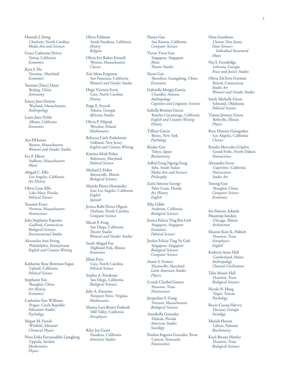Hannah J. Dong Charlotte, North Carolina *Media Arts and Sciences* 

Grace Catherine Driver Poway, California *Economics* 

Kyra S. Du Potomac, Maryland *Economics* 

Yunxiao (Dara) Duan Beijing, China *Astronomy* 

Emery Jane Dutton Wayland, Massachusetts *Anthropology* 

Laura June Dyble Albany, California *Economics* 

Aya ElHassan Boston, Massachusetts *Women's and Gender Studies* 

Eve P. Elkort Sudbury, Massachusetts *Music* 

Abigail C. Ellis Los Angeles, California *Art History* 

Olivia Lynn Ellis Lake Mary, Florida *Political Science* 

Yasemin Ersen Newton, Massachusetts *Neuroscience* 

Julia Stephanie Esposito Guilford, Connecticut *Biological Sciences Environmental Studies* 

Alexandra Ann Ewing Philadelphia, Pennsylvania *English and Creative Writing* 

Katharine Rose Bowman Fagan Upland, California *Political Science* 

Stephanie Fan Shanghai, China *Art History Economics* 

Catherine Farr Williams Prague, Czech Republic *Education Studies Psychology* 

Megan M. Farrah Winfeld, Missouri *Chemical Physics* 

Nora Erika Fayyazuddin Ljungberg Uppsala, Sweden *Mathematics Physics* 

Olivia Feldman South Pasadena, California *History Religion* 

Olivia Eve Rakov Fennell Weston, Massachusetts *Classics* 

Zoë Alexa Ferguson San Francisco, California *Women's and Gender Studies* 

Hope Victoria Ferris Cary, North Carolina *History* 

Paige E. Feyock Atlanta, Georgia *Africana Studies* 

Olivia P. Filipiak Wrocław, Poland *Mathematics* 

Rebecca Carly Finkelstein Oakland, New Jersey *English and Creative Writing* 

Katrina Altah Fisher Baltimore, Maryland *Political Science* 

Michael J. Fisher Bartonville, Illinois *Biological Sciences* 

Mariela Flores-Hernández East Los Angeles, California *English Spanish* 

Jessica Rubi Flores-Olguin Durham, North Carolina *Computer Science* 

Micah P. Fong San Diego, California *Teatre Studies Women's and Gender Studies* 

Sarah Abigail Fox Highland Park, Illinois *Economics* 

Jillian Foye Cary, North Carolina *Political Science* 

Sophia A. Friedman San Diego, California *Biological Sciences* 

Julie A. Fucarino Newport News, Virginia *Mathematics* 

Marina Lara Brazer Furbush Mill Valley, California *Astrophysics* 

Riley Joy Gantt Pasadena, California *American Studies* 

Danya Gao San Ramon, California *Computer Science* 

Victor Yiwei Gao Singapore, Singapore *Music*  **Theatre Studies** 

Xurui Gao Shenzhen, Guangdong, China *Economics* 

Gabriella Mengia Garcia Chandler, Arizona *Anthropology Cognitive and Linguistic Sciences* 

Isabella Brianna Garcia Rancho Cucamonga, California *English and Creative Writing History* 

Tifany Garcia Bronx, New York *Psychology* 

Risako Gen Tokyo, Japan *Biochemistry* 

Adhel Geng Ngong Geng Juba, South Sudan *Media Arts and Sciences Philosophy* 

Zaria Simone George Palm Coast, Florida *Art History English* 

Ellie Gibbs Anaheim, California *Biological Sciences* 

Jessica Felicia Ting Rui Goh Singapore, Singapore *Economics Political Science* 

Jesslyn Felicia Ting Yu Goh Singapore, Singapore *Biological Sciences Computer Science* 

Annie S. Gomez Hyattsville, Maryland *Latin American Studies Physics* 

Cesiah Claribel Gomez Houston, Texas *Neuroscience* 

Jacqueline S. Gong Newton, Massachusetts *Biological Sciences* 

Annabella Gonzalez Hialeah, Florida *American Studies Sociology* 

Paulina Eugenia González Tovar Caracas, Venezuela *Neuroscience* 

Nina Goodman Closter, New Jersey *Data Science– Individual Structured Music* 

Nia S. Goodridge Lithonia, Georgia *Peace and Justice Studies* 

Olivia Zel Eror Gorman Bristol, Connecticut *Studio Art Women's and Gender Studies* 

Sarah Michelle Green Edmond, Oklahoma *Political Science* 

Tianna Jennaye Green Belleville, Illinois *Physics* 

Rose Honora Griesgraber Los Angeles, California *Classics* 

Rosalie Mercedes Grijalva Grand Forks, North Dakota *Neuroscience* 

Alexandra Gross Cupertino, California *Neuroscience Studio Art* 

Yutong Guo Shanghai, China *Computer Science Economics* 

Iris Simone Adejola Haastrup-Sanders Chicago, Illinois *Architecture* 

Eleanor Kate K. Habich Houston, Texas *Astrophysics English* 

Kathryn Anne Hall Cumberland, Maine *Anthropology Classical Civilization* 

Talía Monēt Hall Houston, Texas *Biological Sciences* 

Nicole N. Hang Taipei, Taiwan *Psychology* 

Rocio Cuesta Harvey Decatur, Georgia *Sociology* 

Mariah Hassan Lahore, Pakistan *Biochemistry* 

Kayli Brenáe Hattley Houston, Texas *Biological Sciences*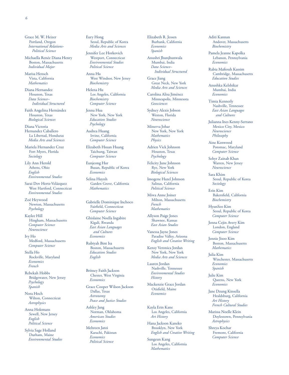Grace M. W. Heizer Portland, Oregon *International Relations-Political Science* 

Michaella Renée Diana Henry Boston, Massachusetts *Individual Major* 

Marisa Hensch Vista, California *Mathematics* 

Diana Hernandez Houston, Texas *Data Science– Individual Structured* 

Faith Angelina Hernández Houston, Texas *Biological Sciences* 

Diana Victoria Hernandez Caballero La Libertad, Honduras *Media Arts and Sciences* 

Mariela Hernandez Cruz Fort Myers, Florida *Sociology* 

Lily Ann Herold Athens, Ohio *English Environmental Studies* 

Sarai Dov Hertz-Velázquez West Hartford, Connecticut *Environmental Studies* 

Zoë Heywood Newton, Massachusetts *Psychology* 

Kaylee Hill Hingham, Massachusetts *Computer Science Neuroscience* 

Ivy Ho Medford, Massachusetts *Computer Science* 

Stella Ho Rockville, Maryland *Economics French* 

Rebekah Hobbs Bridgewater, New Jersey *Psychology Spanish* 

Nora Hoch Wilton, Connecticut *Astrophysics* 

Anna Holemans Sewell, New Jersey *English Political Science* 

Sylvia Sage Holland Durham, Maine *Environmental Studies*  Eury Hong Seoul, Republic of Korea *Media Arts and Sciences* 

Jennifer Lee Horkovich Westport, Connecticut *Environmental Studies Political Science* 

Anna Hu West Windsor, New Jersey *Biochemistry* 

Helena Hu Los Angeles, California *Biochemistry Computer Science* 

Jenna Hua New York, New York *Education Studies Psychology* 

Audrea Huang Irvine, California *Computer Science* 

Elizabeth Hsuan Huang Taichung, Taiwan *Computer Science* 

Eunjeong Hur Busan, Republic of Korea *Economics* 

Selina Huynh Garden Grove, California *Mathematics* 

Gabrielle Dominique Inchoco Fairfeld, Connecticut *Computer Science* 

Ghislaine Noella Ingabire Kigali, Rwanda *East Asian Languages and Cultures Economics* 

Rubiyah Bint Isa Boston, Massachusetts *Education Studies English* 

Britney Faith Jackson Chester, West Virginia *Economics* 

Grace Cooper Wilson Jackson Dallas, Texas *Astronomy Peace and Justice Studies* 

Ashley Jang Norman, Oklahoma *American Studies Economics* 

Mehreen Jatoi Karachi, Pakistan *Economics Political Science* 

Elizabeth R. Jessen Burbank, California *Economics Spanish* 

Anushri Jhunjhunwala Mumbai, India *Data Science– Individual Structured* 

Grace Jiang Great Neck, New York *Media Arts and Sciences* 

Carolina Alisa Jiménez Minneapolis, Minnesota *Geosciences* 

Sydney Alexis Jobson Weston, Florida *Neuroscience* 

Minerva Johar New York, New York *Mathematics Physics* 

Adrien Vick Johnson Houston, Texas *Psychology* 

Felicity June Johnson Rye, New York *Biological Sciences* 

Imogene Hazel Johnson Salinas, California *Political Science* 

Miwa Anne Joiner Milton, Massachusetts *French Mathematics* 

Allyson Paige Jones Shawnee, Kansas *East Asian Studies* 

Vanessa Jayne Jones Paradise Valley, Arizona *English and Creative Writing* 

Kensy Veronica Jordan New York, New York *Media Arts and Sciences* 

Lauren Jordan Nashville, Tennessee *Environmental Studies History* 

Mackenzie Grace Jordan Otisfeld, Maine *Economics* 

Kayla Erin Kane Los Angeles, California *Art History* 

Hana Jackson Kaneko Brooklyn, New York *English and Creative Writing* 

Sungeun Kang Los Angeles, California *Mathematics* 

Aditi Kannan Andover, Massachusetts *Biochemistry* 

Pamela Jeanne Kapolka Lebanon, Pennsylvania *Economics* 

Rabia Mafouh Kassim Cambridge, Massachusetts *Education Studies* 

Anushka Kelshikar Mumbai, India *Economics* 

Timia Kennerly Nashville, Tennessee *East Asian Languages and Cultures* 

Julianna Ines Kenny-Serrano Mexico City, Mexico *Neuroscience Philosophy* 

Aine Kenwood Potomac, Maryland *Computer Science* 

Sehyr Zainab Khan Warren, New Jersey *Neuroscience* 

Sara Khim Seoul, Republic of Korea *Sociology* 

Erin Kim Bakersfeld, California *Biochemistry* 

HyunSeo Kim Seoul, Republic of Korea *Computer Science* 

Jenna Cejin Avery Kim London, England *Computer Science* 

Jennie Jisoo Kim Boston, Massachusetts *Mathematics* 

Julia Kim Winchester, Massachusetts *Economics Spanish* 

Julie Kim Queens, New York *Economics* 

Jane Dzung Kinsella Healdsburg, California *Art History French Cultural Studies* 

Marissa Noelle Klein Doylestown, Pennsylvania *Astrophysics* 

Shreya Kochar Fremont, California *Computer Science*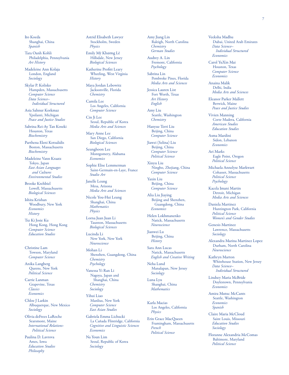Ito Koeda Shanghai, China *Spanish* 

Tara Oanh Kohli Philadelphia, Pennsylvania *Art History* 

Madeleine Ann Kolaja London, England *Sociology* 

Skylar P. Kolisko Hampden, Massachusetts *Computer Science Data Science– Individual Structured* 

Asia Sahnur Korkmaz Ypsilanti, Michigan *Peace and Justice Studies* 

Sabrina Rei-Ay Tan Koseki Houston, Texas *Biochemistry* 

Parthena Eleni Kotsalidis Boston, Massachusetts *Biochemistry* 

Madeleine Vann Kraatz Tokyo, Japan *East Asian Languages and Cultures Environmental Studies* 

Brooke Krehbiel Lowell, Massachusetts *Biological Sciences* 

Ishita Krishan Woodbury, New York *Economics History* 

Tsz Ki Josie Ku Hong Kong, Hong Kong *Computer Science Education Studies* 

Christine Lam Towson, Maryland *Computer Science* 

Anika Langberg Queens, New York *Political Science* 

Carrie Lanman Grapevine, Texas *Classics Economics* 

Chloe J Larkin Albuquerque, New Mexico *Sociology* 

Olivia deFrees LaRoche Searsmont, Maine *International Relations-Political Science* 

Paulina D. Lavrova Ames, Iowa *Education Studies Philosophy* 

Astrid Elisabeth Lawyer Stockholm, Sweden *Physics* 

Emily Mỹ Khương Lê Hillsdale, New Jersey *Biological Sciences* 

Katherine Proftt Leary Wheeling, West Virginia *History* 

Maya Jordan Lebowitz Jacksonville, Florida *Chemistry* 

Camila Lee Los Angeles, California *Computer Science* 

Cin Ji Lee Seoul, Republic of Korea *Media Arts and Sciences* 

Mary Anne Lee San Diego, California *Biological Sciences* 

Seunghoon Lee Montgomery, Alabama *Economics* 

Sophie Elise Lemmerman Saint-Germain-en-Laye, France *Studio Art* 

Janelle Leung Mesa, Arizona *Media Arts and Sciences* 

Nicole You-Hui Leung Shanghai, China *Mathematics Physics* 

Lorna Juan Juan Li Taunton, Massachusetts *Biological Sciences* 

Lucinda Li New York, New York *Neuroscience* 

Mohan Li Shenzhen, Guangdong, China *Chemistry Psychology* 

Vanessa Yi Ran Li Nagoya, Japan and Shanghai, China *Chemistry Sociology* 

Yihui Liao Manlius, New York *Computer Science East Asian Studies* 

Gabriela Emma Lichucki La Cañada Flintridge, California *Cognitive and Linguistic Sciences Economics* 

Na Youn Lim Seoul, Republic of Korea *Sociology* 

Amy Jiang Lin Raleigh, North Carolina *Chemistry German Studies* 

Audrey A. Lin Fremont, California *Psychology* 

Sabrina Lin Pembroke Pines, Florida *Media Arts and Sciences* 

Jessica Lauren List Fort Worth, Texas *Art History English* 

Amy Liu Seattle, Washington *Chemistry* 

Hanyue Terri Liu Beijing, China *Computer Science* 

Jiawei (Selina) Liu Beijing, China *Computer Science Political Science* 

Xinyu Liu Ningbo, Zhejiang, China *Computer Science* 

Yaxin Liu Beijing, China *Computer Science* 

Alia Liu Jiaying Beijing and Shenzhen, Guangdong, China *Economics* 

Helen Lokhmanenko Natick, Massachusetts *Neuroscience* 

Jianwei Lu Beijing, China *History* 

Sara Ann Lucas Natick, Massachusetts

*English and Creative Writing*  Neha Lund

Manalapan, New Jersey *Sociology* 

Luna Lyu Shanghai, China *Mathematics* 

Karla Macias Los Angeles, California *Physics* 

Erin Grace MacQueen Framingham, Massachusetts *French Political Science* 

Veeksha Madhu Dubai, United Arab Emirates *Data Science– Individual Structured Economics* 

Carol YuXin Mai Houston, Texas *Computer Science Economics* 

Anaina Malik Delhi, India *Media Arts and Sciences* 

Eleanor Parker Mallett Berwick, Maine *Peace and Justice Studies* 

Vivien Manning Corte Madera, California *American Studies Education Studies* 

Asma Mardini Sidon, Lebanon *Economics* 

Ari Marks Eagle Point, Oregon *Political Science* 

Michaela Annelyse Markwart Cohasset, Massachusetts *Political Science Psychology* 

Kacela Imani Martin Detroit, Michigan *Media Arts and Sciences* 

Daniela Martinez Huntington Park, California *Political Science Women's and Gender Studies* 

Genesis Martinez Lawrence, Massachusetts *Sociology* 

Alexandra Marina Martinez Lopez Durham, North Carolina *Neuroscience* 

Kathryn Marton Whitehouse Station, New Jersey *Data Science– Individual Structured* 

Lindsey Maria McBride Doylestown, Pennsylvania *Economics* 

Amira Mutuc McCants Seattle, Washington *Economics Spanish* 

Claire Maria McCloud Saint Louis, Missouri *Education Studies Sociology* 

Floranne Alexandria McComas Baltimore, Maryland *Political Science*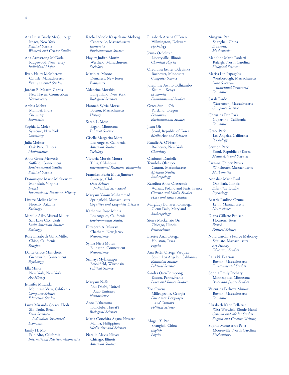Ana Luisa Brady McCullough Ithaca, New York *Political Science Women's and Gender Studies* 

Ana Armstrong McDade Ridgewood, New Jersey *Individual Major* 

Ryan Haley McMorrow Carlisle, Massachusetts *Environmental Studies* 

Jordan B. Meares-Garcia New Haven, Connecticut *Neuroscience* 

Arshia Mehta Mumbai, India *Chemistry Economics* 

Sophia L. Meier Syracuse, New York *Chemistry* 

Julia Meister Oak Park, Illinois *Mathematics* 

Anna Grace Mervosh Suffield, Connecticut *Environmental Studies Political Science* 

Dominique Marie Mickiewicz Montclair, Virginia *French International Relations–History* 

Lizette Melissa Mier Phoenix, Arizona *Sociology* 

Mireille Aiko Mistral Miller Salt Lake City, Utah *Latin American Studies Sociology* 

Rose Elizabeth Galik Miller Chico, California *Religion* 

Dante Grace Minichetti Greenwich, Connecticut *Psychology* 

Ella Mints New York, New York *Art History* 

Jennifer Miranda Mountain View, California *Computer Science Education Studies* 

Luiza Miranda Correa Eboli São Paulo, Brazil *Data Science– Individual Structured Economics* 

Emily H. Mo Palo Alto, California *International Relations–Economics*  Rachel Nicole Kaajeekane Moberg Centerville, Massachusetts *Economics Environmental Studies* 

Hayley Judith Moniz Westfeld, Massachusetts *Sociology* 

Marin A. Moore Demarest, New Jersey *Economics* 

Valentina Morakis Long Island, New York *Biological Sciences* 

Hannah Sylvia Morse Boston, Massachusetts *History* 

Sarah L. Most Eagan, Minnesota *Political Science* 

Giselle Margarita Mota Los Angeles, California *American Studies Sociology* 

Victoria Morais Moura Tulsa, Oklahoma *International Relations–Economics* 

Francisca Belén Moya Jiménez Santiago, Chile *Data Science– Individual Structured* 

Maryam Yamín Muhammad Springfeld, Massachusetts *Cognitive and Linguistic Sciences* 

Katherine Rose Muniz Los Angeles, California *Environmental Studies* 

Elizabeth A. Murray Chatham, New Jersey *Neuroscience* 

Sylvia Njeri Mutua Ellington, Connecticut *Neuroscience* 

Srimayi Mylavarapu Brookfeld, Wisconsin *Political Science* 

Maryam Nafe Abu Dhabi, United Arab Emirates *Neuroscience* 

Anna Nakamura Honolulu, Hawai'i *Biological Sciences* 

Maria Conchita Agana Navarro Manila, Philippines *Media Arts and Sciences* 

Natalie Alexis Nieves Chicago, Illinois *American Studies* 

Elizabeth Ariana O'Brien Wilmington, Delaware *Psychology* 

Jenna Ocheltree Libertyville, Illinois *Chemical Physics* 

Oreoluwa Esther Odeyinka Rochester, Minnesota *Computer Science* 

Josephine Awino Odhiambo Kisumu, Kenya *Economics Environmental Studies* 

Grace Sun-ju Oh Portland, Oregon *Economics Environmental Studies* 

Jisun Oh Seoul, Republic of Korea *Media Arts and Sciences* 

Natalie A. O'Hern Rochester, New York *Chemistry* 

Oladunni Danielle Temilola Oladipo Canton, Massachusetts *Africana Studies Anthropology* 

Karolina Anna Oleszczuk Warsaw, Poland and Paris, France *Cinema and Media Studies Peace and Justice Studies* 

Marglucy Bonareri Omwega Glenn Dale, Maryland *Anthropology* 

Sierra Mackenzie Orr Chicago, Illinois *Neuroscience* 

Lizette Anai Ortega Houston, Texas *Physics* 

Ana Belén Ortega Vasquez South Los Angeles, California *Education Studies Political Science* 

Sandra Osei-Frimpong Easton, Pennsylvania *Peace and Justice Studies* 

Zoë Owens Milledgeville, Georgia *East Asian Languages and Cultures Political Science* 

Abigail Y. Pan Shanghai, China *English Physics* 

Mingyue Pan Shanghai, China *Economics Mathematics* 

Madeline Marie Paoletti Raleigh, North Carolina *Biological Sciences* 

Marisa Lin Papagelis Westborough, Massachusetts *Data Science– Individual Structured Economics* 

Sarah Pardo Watertown, Massachusetts *Computer Science* 

Christina Eun Park Cupertino, California *Economics* 

Grace Park Los Angeles, California *Psychology* 

Seiyeon Park Seoul, Republic of Korea *Media Arts and Sciences* 

Farzana Chipty Patwa Winchester, Massachusetts *Mathematics* 

Annalise Marie Paul Oak Park, Illinois *Education Studies Psychology* 

Beatriz Paulino Ozuna Lynn, Massachusetts *Neuroscience* 

Diana Gillette Paulsen Houston, Texas *French Political Science* 

Nora Carolina Pearce Mahoney Scituate, Massachusetts *Art History Education Studies* 

Laila N. Pearson Boston, Massachusetts *Environmental Studies* 

Sophia Emily Pechaty Minneapolis, Minnesota *Peace and Justice Studies* 

Valentina Pedroza Muñoz Boston, Massachusetts *Economics* 

Elizabeth Katie Pelletier West Warwick, Rhode Island *Cinema and Media Studies English and Creative Writing* 

Sophia Montserrat Pe a .<br>Mooresville, North Carolina *Biochemistry*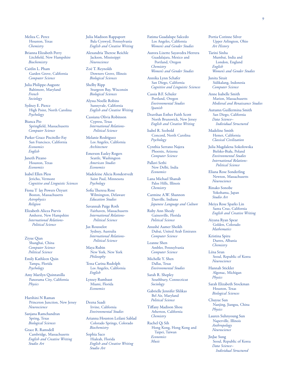Meliza C. Perez Houston, Texas *Chemistry* 

Brianna Elizabeth Perry Litchfeld, New Hampshire *Biochemistry* 

Caitlin L. Pham Garden Grove, California *Computer Science* 

Julia Philippe-Auguste Baltimore, Maryland *French Sociology* 

Sydney E. Pierce High Point, North Carolina *Psychology* 

Bianca Pio Springfeld, Massachusetts *Computer Science* 

Parker Grace Piscitello-Fay San Francisco, California *Economics English* 

Janeth Pizano Houston, Texas *Economics* 

Isabel Ellen Pless Jericho, Vermont *Cognitive and Linguistic Sciences* 

ü Fiona T lay Powers Özyurt Boston, Massachusetts *Astrophysics Religion* 

Elizabeth Alicea Purvis Amherst, New Hampshire *International Relations-Political Science* 

Ziyue Qian Shanghai, China *Computer Science Political Science* 

Emily Kathleen Quin Tampa, Florida *Psychology* 

Amy Marilyn Quintanilla Panorama City, California *Physics* 

Harshini N Raman Princeton Junction, New Jersey *Neuroscience* 

Sanjana Ramchandran Spring, Texas *Biological Sciences* 

Grace R. Ramsdell Cambridge, Massachusetts *English and Creative Writing Studio Art* 

Julia Madison Rappaport Bala Cynwyd, Pennsylvania *English and Creative Writing* 

Alexandria Therese Reichle Jackson, Mississippi *Neuroscience* 

Zoë T. Reynolds Downers Grove, Illinois *Biological Sciences* 

Shelby Ripp Sturgeon Bay, Wisconsin *Biological Sciences* 

Alyssa Noelle Robins Sunnyvale, California *English and Creative Writing* 

Cassiana Olivia Robinson Cypress, Texas *International Relations-Political Science* 

Melanie Rodriguez Los Angeles, California *Architecture* 

Emerson Easley Rogers Seattle, Washington *American Studies Economics* 

Madeleine Alicia Rondestvedt Saint Paul, Minnesota *Psychology* 

Sofia Theresa Rose Wilmington, Delaware *Education Studies* 

Savannah Paige Roth Fairhaven, Massachusetts *International Relations-Political Science* 

Jax Rousselot Sydney, Australia *International Relations-Political Science* 

Maya Rubin New York, New York *Philosophy* 

Tessa Carina Rudolph Los Angeles, California *English* 

Lynsey Rumbaut Miami, Florida *Economics* 

Deena Saadi Irvine, California *Environmental Studies* 

Arianna Houston Leilani Sablad Colorado Springs, Colorado *Biochemistry* 

Sophia Saco Hialeah, Florida *English and Creative Writing Studio Art* 

Fatima Guadalupe Salcedo Los Angeles, California *Women's and Gender Studies* 

Aurora Lizette Sayavedra Herrera Guadalajara, Mexico and Portland, Oregon *Chemistry Women's and Gender Studies* 

Annika Lynn Schafer San Diego, California *Cognitive and Linguistic Sciences* 

Cassia B.F. Schuler Portland, Oregon *Environmental Studies Spanish* 

Deavihan Esther Faith Scott North Brunswick, New Jersey *English and Creative Writing* 

Isabel R. Seebold Concord, North Carolina *Psychology* 

Cynthia Serrano Najera Phoenix, Arizona *Computer Science* 

Pallavi Sethi New Delhi, India *Economics* 

Lana Michael Shanab Palos Hills, Illinois *Chemistry* 

Carmine A.W. Shannon Danville, Indiana *Japanese Language and Culture* 

Ruby Ann Shealy Gainesville, Florida *Political Science* 

Anushé Aamer Sheikh Dubai, United Arab Emirates *Computer Science* 

Leanne Shen Ambler, Pennsylvania *Computer Science* 

Michelle Y. Shen Dallas, Texas

*Environmental Studies*  Sarah R. Shepley Southbury, Connecticut

*Sociology*  Gabrielle Jennifer Shlikas

Bel Air, Maryland *Political Science* 

Tifany Madison Shou Atherton, California *Chemistry* 

Rachel Qi Sih Hong Kong, Hong Kong and Taipei, Taiwan *Economics Music* 

Portia Corinne Silver Upper Arlington, Ohio *Art History* 

Tarini Sinha Mumbai, India and London, England *English Women's and Gender Studies* 

Junita Sirait Sidikalang, Indonesia *Computer Science* 

Anne Isabelle Smith Marion, Massachusetts *Medieval and Renaissance Studies* 

Autumn Guillermina Smith San Diego, California *Data Science– Individual Structured* 

Madeline Smith Hemet, California *Classical Civilization* 

Julia Magdalena Sokołowska Bielsko-Biała, Poland *Environmental Studies International Relations-Political Science* 

Eliana Rose Sonderling Newton, Massachusetts *Neuroscience* 

Rinako Sonobe Yokohama, Japan *Studio Art* 

Meiya Rose Sparks Lin Santa Cruz, California *English and Creative Writing* 

Aiyana Ryan Spear Golden, Colorado *Mathematics* 

Kristina Spiru Durres, Albania *Chemistry* 

Léna Srun Seoul, Republic of Korea *Neuroscience* 

Hannah Stickler Algonac, Michigan *Physics* 

Sarah Elizabeth Stockman Houston, Texas *Biological Sciences* 

Chuyue Sun Nanjing, Jiangsu, China *Physics* 

Lauren Suhnyoung Sun Naperville, Illinois *Anthropology Neuroscience* 

JinJae Sung Seoul, Republic of Korea *Data Science– Individual Structured*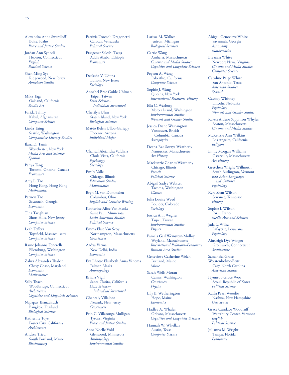10

Alexandra Anne Swerdlof Boise, Idaho *Peace and Justice Studies* 

Jordan Ann Synodi Hebron, Connecticut *English Political Science* 

Shen-Ming Syz Ridgewood, New Jersey *American Studies* 

Mika Taga Oakland, California *Studio Art* 

Farida Tahiry Kabul, Afghanistan *Computer Science* 

Linda Taing Seattle, Washington *Comparative Literary Studies* 

Ilana D. Tamir Westchester, New York *Media Arts and Sciences Spanish* 

Panya Tang Toronto, Ontario, Canada *Economics* 

Amy L. Tao Hong Kong, Hong Kong *Mathematics* 

Patricia Tao Savannah, Georgia *Economics* 

Tina Tarighian Short Hills, New Jersey *Computer Science* 

Leah Tefera Topsfeld, Massachusetts *Computer Science* 

Raine Johanna Tenerelli Ellensburg, Washington *Computer Science* 

Zahra Alexandra Thabet Chevy Chase, Maryland *Economics Mathematics* 

Sally Thach Woodbridge, Connecticut *Architecture Cognitive and Linguistic Sciences* 

Napapas Thanavisuth Bangkok, Thailand *Biological Sciences* 

Katherine Toye Foster City, California *Architecture* 

Andrea Trieu South Portland, Maine *Biochemistry* 

Patrizia Troccoli Dragonetti Caracas, Venezuela *Political Science* 

Etsegenet Seleshi Tsega Addis Ababa, Ethiopia *Economics* 

Deeksha V. Udupa Edison, New Jersey *Sociology* 

Annabel Bree Goble Uhlman Taipei, Taiwan *Data Science– Individual Structured* 

Cherilyn Uhm Staten Island, New York *Biological Sciences* 

Matéo Belén Ulloa-Gariepy Phoenix, Arizona *Individual Major* 

Chantal Alejandra Valdivia Chula Vista, California *Psychology Sociology* 

Emily Valle Chicago, Illinois *Education Studies Mathematics* 

Bryn M. van Dommelen Columbus, Ohio *English and Creative Writing* 

Katherine Alice Van Hecke Saint Paul, Minnesota *Latin American Studies Political Science* 

Emma Elise Van Scoy Northampton, Massachusetts *Geosciences* 

Aadya Varma New Delhi, India *Economics* 

Eva Lhotse Elisabeth Anna Venema Palmer, Alaska *Anthropology* 

Briana Vigil Santa Clarita, California *Data Science– Individual Structured* 

Chantaly Villalona Newark, New Jersey *Geosciences* 

Erin C. Villaronga Mulligan Tysons, Virginia *Peace and Justice Studies* 

Anna Noelle Vold Glenwood, Minnesota *Anthropology Environmental Studies* 

Larissa M. Walker Jenison, Michigan *Biological Sciences* 

Carrie Wang Amherst, Massachusetts *Cinema and Media Studies Cognitive and Linguistic Sciences* 

Peyton A. Wang Palo Alto, California *Computer Science* 

Sophie J. Wang Queens, New York *International Relations–History* 

Ella C. Warburg Mercer Island, Washington *Environmental Studies Women's and Gender Studies* 

Jessica Diane Washington Vancouver, British Columbia, Canada *Astrophysics* 

Deana-Rae Soraya Weatherly Nantucket, Massachusetts *Art History* 

Mackenzie Charles Weatherly Chicago, Illinois *French Political Science* 

Abigail Sadye Webster Tacoma, Washington *Classics* 

Julia Louise Weed Boulder, Colorado *Sociology* 

Jessica Ann Wegner Taipei, Taiwan *Environmental Studies Physics* 

Pamela Gail Weinstein-Molloy Wayland, Massachusetts *International Relations–Economics Russian Area Studies* 

Genevieve Catherine Welch Portland, Maine *Music* 

Sarah Wells-Moran Camas, Washington *Geosciences Physics* 

Lily B. Wetherington Hope, Maine *Economics* 

Hadley A. Whalen Orleans, Massachusetts *Cognitive and Linguistic Sciences* 

Hannah W. Whellan Austin, Texas *Computer Science* 

Abigail Genevieve White Savannah, Georgia *Astronomy Mathematics* 

Breanna White Newport News, Virginia *Cinema and Media Studies Computer Science* 

Caroline Paige White San Antonio, Texas *American Studies Spanish* 

Cassidy Whitney Lincoln, Nebraska *Psychology Women's and Gender Studies* 

Raven Aldene Sapphron Whyles Boston, Massachusetts *Cinema and Media Studies* 

McKenzie Ann Wilkins Los Angeles, California *Religion* 

Emily Morgan Williams Osterville, Massachusetts *Art History* 

Gretchen Wright Willmuth South Burlington, Vermont *East Asian Languages and Cultures Psychology* 

Kyra Shan Wilson Sewanee, Tennessee *History* 

Sophie I. Wilson Paris, France *Media Arts and Sciences* 

Jada L. Wiltz Lafayette, Louisiana *Psychology* 

Ainsleigh Dye Winget Greenwich, Connecticut *Architecture* 

Samantha Grace Wolstenholme-Britt Cary, North Carolina *American Studies* 

Hyunsoo Grace Woo Seoul, Republic of Korea *Political Science* 

Kayla Pearl Woodie Nashua, New Hampshire *Geosciences* 

Grace Candace Woodruf Waterbury Center, Vermont *English Political Science* 

Julianna M. Wright Tampa, Florida *Economics*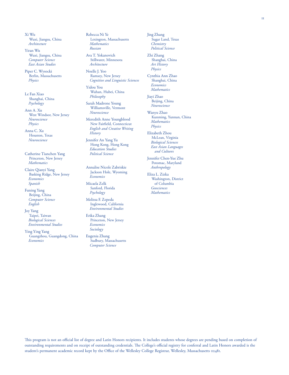Wuxi, Jiangsu, China Ava T. Yokanovich Zhi Zhang  $East$  Asian Studies

Berlin, Massachusetts Ramsey, New Jersey

Le Fan Xiao Shanghai, China *Psychology* 

Ann A. Xu West Windsor, New Jersey *Neuroscience Physics* 

Anna C. Xu Houston, Texas *Neuroscience* 

Catherine Tianchen Yang Princeton, New Jersey Jennifer Chen-Yue Zhu<br>M*athematics* Determines Maryland Potomac. Maryland

Claire Qianyi Yang Basking Ridge, New Jersey *Economics Spanish* Micaela Zelk of Columbia

Funing Yang Beijing, China *Computer Science* **Melissa F. Zepeda**<br>*English* Inglewood, Cal

Joy Yang *Environmental Studies*  Taipei, Taiwan *Biological Sciences* Princeton, New Jersey *Environmental Studies Economics* 

Ying Ying Yang *Sociology*  Guangzhou, Guangdong, China **Economics** Sudbury, Massachusetts

Xi Wu Rebecca Ni Ye Jing Zhang Wuxi, Jiangsu, China Lexington, Massachusetts Sugar Land, Texas, Chemistry Chemistry *Mathematics* Yiran Wu *Russian Political Science* 

*Computer Science* Stillwater, Minnesota Shanghai, China

Piper C. Wysocki Noelle J. Yoo *Physics Physics Cognitive and Linguistic Sciences* Shanghai, China

> Yidou You Wuhan, Hubei, China *Philosophy*

Sarah Madrone Young Williamsville, Vermont *Neuroscience* 

Meredith Anne Youngblood New Fairfeld, Connecticut *English and Creative Writing History* 

Jennifer An Yang Yu Hong Kong, Hong Kong *Education Studies Political Science* 

Annalise Nicole Zabriskie Jackson Hole, Wyoming *Economics* 

Sanford, Florida *Psychology* 

*English* Inglewood, California

*Computer Science* 

*Economics Mathematics* 

Jiayi Zhao Beijing, China *Neuroscience* 

Wanyu Zhao Kunming, Yunnan, China *Mathematics Physics* 

Elizabeth Zhou McLean, Virginia *Biological Sciences East Asian Languages and Cultures* 

Potomac, Maryland *Anthropology* 

Eliza L. Zizka Washington, District *Geosciences Mathematics* 

This program is not an official list of degree and Latin Honors recipients. It includes students whose degrees are pending based on completion of outstanding requirements and on receipt of outstanding credentials. The College's official registry for conferral and Latin Honors awarded is the student's permanent academic record kept by the Office of the Wellesley College Registrar, Wellesley, Massachusetts 02481.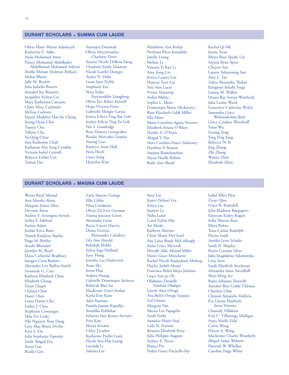# **DURANT SCHOLARS • SUMMA CUM LAUDE**

Olivia Marie Marais Adamczyk Soumaya Dammak Madeleine Ann Kolaja Rachel Qi Sih Anais Mohamed Amer Charlotte Davis Janelle Leung Meiya Rose Sparks Lin Nancy Mohamed Abdelkader Suzana Nicole DeRosa-Farag Mohan Li Aiyana Ryan Spear Abdelhamid Mohamed Ashour Charlotte Emily Diamant Vanessa Yi Ran Li Chuyue Sun Abdelhamid Mohamed Ashour Charlotte Emily Diamant Vanessa Yi Ran Li Chuyue Sun Arielle Miriam Dedman Belluck Nicole Lorelei Doerges Amy Jiang Lin Lauren Suhnyoung Sun Mehar Bhatia Taylor N. Doke Jessica Lauren List Amy L. Tao Julie M. Bocetti Laura June Dyble Hanyue Terri Liu Zahra Alexandra Tabet Annabel Joy Brazaitis Nora Erika Jacquelyn Yichen Cai Fayyazuddin Ljungberg Mary Katherine Canzano Olivia Eve Rakov Fennell Claire Mary Carlander Melissa Carleton Gabriella Mengia Garcia Elaney Madelyn Hae-Jin Cheng Jessica Felicia Ting Rui Goh Ella Mints Seung Hyun Choi Jesslyn Felicia Ting Yu Goh Tianyu Chu Nia S. Goodridge Tifany Chu Rose Honora Griesgraber Natalie A. O'Hern Funing Yang Sara Katherine Clark Yutong Guo Katharine Hye Jung Conklin Kathryn An<br>Victoria Isabel Cottrell Nora Hoch Victoria Isabel Cottrell Nora Hoch<br>Rebecca Esther Cox Grace Jiang Rebecca Esther Cox Tantan Dai **HyunSeo Kim** 

Rosalie Mercedes Grijalva<br>Yutong Guo

Katherine E. Adler Olivia Merryweather Parthena Eleni Kotsalidis Junita Sirait Julia Isabella Bowers Stephanie Fan Sara Ann Lucas Etsegenet Seleshi Tsega Vivien Manning Arshia Mehta Sophia L. Meier Dominique Marie Mickiewicz Rose Elizabeth Galik Miller Maria Conchita Agana Navarro Elizabeth Ariana O'Brien Abigail Y. Pan Nora Carolina Pearce Mahoney Harshini N Raman Sanjana Ramchandran Alyssa Noelle Robins Ruby Ann Shealy

Larissa M. Walker Deana-Rae Soraya Weatherly Julia Louise Weed Genevieve Catherine Welch Samantha Grace Grace Candace Woodruf Yiran Wu Ying Ying Yang Rebecca Ni Ye Jing Zhang Zhi Zhang Wanyu Zhao Elizabeth Zhou

# **DURANT SCHOLARS • MAGNA CUM LAUDE**

Wania Batul Ahmad Ann-Marsha Alexis Margaux Joann Allen Devyani Arora Andrea V. Arrangoiz-Arriola Sydne F. Ashford Fatima Aslam Jordan Erica Bates Niamh Kathleen Bayliss Paige M. Befeler Arushi Bhandari Jennifer M. Boyd Maya Catherine Bradbury Imogen Ciara Budetti Alexandra Lett Bullen-Smith Savannah G. Cary Kathryn Elizabeth Chan Elizabeth Chang Teran Chapis Chelsea Chen Daoyi Chen Laura Daeun Cho Esther J. Choe Stephanie Consuegra Mila Eve Cuda Nhi Nguyen Thao Dang Grey Mae Britos Devlin Kyra S. Du Julia Stephanie Esposito Sarah Abigail Fox Xurui Gao Risako Gen

Zaria Simone George Ellie Gibbs Nina Goodman Olivia Zel Eror Gorman Tianna Jennaye Green Alexandra Gross Rocio Cuesta Harvey Diana Victoria Hernandez Caballero Lily Ann Herold Rebekah Hobbs Sylvia Sage Holland Eury Hong Jennifer Lee Horkovich Anna Hu Jenna Hua Audrea Huang Gabrielle Dominique Inchoco Rubiyah Bint Isa Mackenzie Grace Jordan Kayla Erin Kane Aditi Kannan Pamela Jeanne Kapolka Anushka Kelshikar Julianna Ines Kenny-Serrano Erin Kim Shreya Kochar Chloe J Larkin Katherine Proftt Leary Nicole You-Hui Leung Lucinda Li Sabrina Lin

Amy Liu Jiawei (Selina) Liu Xinyu Liu Jianwei Lu Neha Lund Carol YuXin Mai Ari Marks Kathryn Marton Claire Maria McCloud Ana Luisa Brady McCullough Anna Grace Mervosh Mireille Aiko Mistral Miller Dante Grace Minichetti Rachel Nicole Kaajeekane Moberg Hayley Judith Moniz Francisca Belén Moya Jiménez Grace Sun-ju Oh Oladunni Danielle Temilola Oladipo Lizette Anai Ortega Ana Belén Ortega Vasquez Zoë Owens Mingyue Pan Marisa Lin Papagelis Sarah Pardo Annalise Marie Paul Laila N. Pearson Brianna Elizabeth Perry Julia Philippe-Auguste Sydney E. Pierce Bianca Pio Parker Grace Piscitello-Fay

Isabel Ellen Pless Ziyue Qian Grace R. Ramsdell Julia Madison Rappaport Emerson Easley Rogers Sofia Theresa Rose Maya Rubin Tessa Carina Rudolph Deena Saadi Annika Lynn Schafer Sarah R. Shepley Portia Corinne Silver Julia Magdalena Sokołowska Léna Srun Sarah Elizabeth Stockman Alexandra Anne Swerdlof Shen-Ming Syz Raine Johanna Tenerelli Annabel Bree Goble Uhlman Cherilyn Uhm Chantal Alejandra Valdivia Eva Lhotse Elisabeth Anna Venema Chantaly Villalona Erin C. Villaronga Mulligan Anna Noelle Vold Carrie Wang Peyton A. Wang Mackenzie Charles Weatherly Abigail Sadye Webster Hannah W. Whellan Caroline Paige White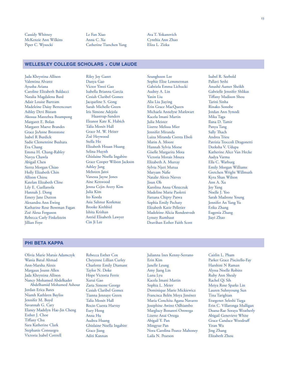Cassidy Whitney Le Fan Xiao Ava T. Yokanovich McKenzie Ann Wilkins Anna C. Xu Cynthia Ann Zhao Piper C. Wysocki Catherine Tianchen Yang

# **WELLESLEY COLLEGE SCHOLARS • CUM LAUDE**

Jada Khrystina Allison Valentina Alvarez Ayusha Ariana Caroline Elizabeth Baldacci Natalia Magdalena Bard Adair Louise Bartram Madeleine Daisy Bettencourt Ashley Devi Bisram Akosua Mantebea Boampong Margaret E. Bolan Margaret Maeve Brandes Grace JoAnne Bronstone Isabel R Burdick Sadie Clementine Bushara Eva Chang Emma H. Chang-Rabley Navya Chawla Abigail Chen Sierra Morgan Chiao Holly Elizabeth Chin Allison Chiou Katelan Elizabeth Cline Lily E. Cuellarsola Hannah J. Dong Emery Jane Dutton Alexandra Ann Ewing Katharine Rose Bowman Fagan Zoë Alexa Ferguson Rebecca Carly Finkelstein Jillian Foye

Riley Joy Gantt Danya Gao Victor Yiwei Gao Isabella Brianna Garcia Cesiah Claribel Gomez Jacqueline S. Gong Sarah Michelle Green Iris Simone Adejola Haastrup-Sanders Eleanor Kate K. Habich Talía Monēt Hall Grace M. W. Heizer Zoë Heywood Stella Ho Elizabeth Hsuan Huang Selina Huynh Ghislaine Noella Ingabire Grace Cooper Wilson Jackson Ashley Jang Mehreen Jatoi Vanessa Jayne Jones Aine Kenwood Jenna Cejin Avery Kim Julia Kim Ito Koeda Asia Sahnur Korkmaz Brooke Krehbiel Ishita Krishan Astrid Elisabeth Lawyer Cin Ji Lee

Seunghoon Lee Sophie Elise Lemmerman Gabriela Emma Lichucki Audrey A. Lin Yaxin Liu Alia Liu Jiaying Erin Grace MacQueen Michaela Annelyse Markwart Kacela Imani Martin Julia Meister Lizette Melissa Mier Jennifer Miranda Luiza Miranda Correa Eboli Marin A. Moore Hannah Sylvia Morse Giselle Margarita Mota Victoria Morais Moura Elizabeth A. Murray Sylvia Njeri Mutua Maryam Nafe Natalie Alexis Nieves Jisun Oh Karolina Anna Oleszczuk Madeline Marie Paoletti Farzana Chipty Patwa Sophia Emily Pechaty Elizabeth Katie Pelletier Madeleine Alicia Rondestvedt Lynsey Rumbaut Deavihan Esther Faith Scott

Isabel R. Seebold Pallavi Sethi Anushé Aamer Sheikh Gabrielle Jennifer Shlikas Tifany Madison Shou Tarini Sinha Rinako Sonobe Jordan Ann Synodi Mika Taga Ilana D. Tamir Panya Tang Sally Thach Andrea Trieu Patrizia Troccoli Dragonetti Deeksha V. Udupa Katherine Alice Van Hecke Aadya Varma Ella C. Warburg Emily Morgan Williams Gretchen Wright Willmuth Kyra Shan Wilson Ann A. Xu Joy Yang Noelle J. Yoo Sarah Madrone Young Jennifer An Yang Yu Erika Zhang Eugenia Zhang Jiayi Zhao

# **PHI BETA KAPPA**

Olivia Marie Marais Adamczyk Wania Batul Ahmad Ann-Marsha Alexis Margaux Joann Allen Jada Khrystina Allison Nancy Mohamed Abdelkader Abdelhamid Mohamed Ashour Jordan Erica Bates Niamh Kathleen Bayliss Jennifer M. Boyd Savannah G. Cary Elaney Madelyn Hae-Jin Cheng Esther J. Choe Tifany Chu Sara Katherine Clark Stephanie Consuegra Victoria Isabel Cottrell

Rebecca Esther Cox Cheyenne Lillian Curley Charlotte Emily Diamant Taylor N. Doke Hope Victoria Ferris Xurui Gao Zaria Simone George Cesiah Claribel Gomez Tianna Jennaye Green Talía Monēt Hall Rocio Cuesta Harvey Eury Hong Anna Hu Audrea Huang Ghislaine Noella Ingabire Grace Jiang Aditi Kannan

Julianna Ines Kenny-Serrano Erin Kim Janelle Leung Amy Jiang Lin Luna Lyu Kacela Imani Martin Sophia L. Meier Dominique Marie Mickiewicz Francisca Belén Moya Jiménez Maria Conchita Agana Navarro Josephine Awino Odhiambo Marglucy Bonareri Omwega Lizette Anai Ortega Abigail Y. Pan Mingyue Pan Nora Carolina Pearce Mahoney Laila N. Pearson

Caitlin L. Pham Parker Grace Piscitello-Fay Harshini N Raman Alyssa Noelle Robins Ruby Ann Shealy Rachel Qi Sih Meiya Rose Sparks Lin Lauren Suhnyoung Sun Tina Tarighian Etsegenet Seleshi Tsega Erin C. Villaronga Mulligan Deana-Rae Soraya Weatherly Abigail Genevieve White Grace Candace Woodruf Yiran Wu Jing Zhang Elizabeth Zhou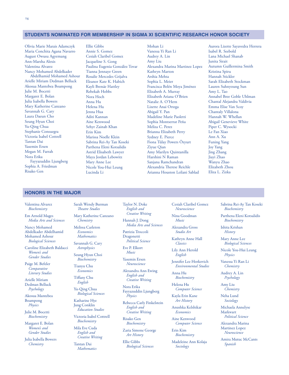# **STUDENTS NOMINATED FOR MEMBERSHIP IN SIGMA XI SCIENTIFIC RESEARCH HONOR SOCIETY**

Olivia Marie Marais Adamczyk Maria Conchita Agana Navarro August Owusu Agyemang Ann-Marsha Alexis Valentina Alvarez Nancy Mohamed Abdelkader Abdelhamid Mohamed Ashour Arielle Miriam Dedman Belluck Akosua Mantebea Boampong Julie M. Bocetti Margaret E. Bolan Julia Isabella Bowers Mary Katherine Canzano Savannah G. Cary Laura Daeun Cho Seung Hyun Choi Yu-Qing Chua Stephanie Consuegra Victoria Isabel Cottrell Tantan Dai Yasemin Ersen Megan M. Farrah Nora Erika Fayyazuddin Ljungberg Sophia A. Friedman Risako Gen

Ellie Gibbs Annie S. Gomez Cesiah Claribel Gomez Jacqueline S. Gong Paulina Eugenia González Tovar Tianna Jennaye Green Rosalie Mercedes Grijalva Eleanor Kate K. Habich Kayli Brenáe Hattley Rebekah Hobbs Nora Hoch Anna Hu Helena Hu Jenna Hua Aditi Kannan Aine Kenwood Sehyr Zainab Khan Erin Kim Marissa Noelle Klein Sabrina Rei-Ay Tan Koseki Parthena Eleni Kotsalidis Astrid Elisabeth Lawyer Maya Jordan Lebowitz Mary Anne Lee Nicole You-Hui Leung Lucinda Li

Mohan Li Vanessa Yi Ran Li Audrey A. Lin Amy Liu Alexandra Marina Martinez Lopez Kathryn Marton Arshia Mehta Sophia L. Meier Francisca Belén Moya Jiménez Elizabeth A. Murray Elizabeth Ariana O'Brien Natalie A. O'Hern Lizette Anai Ortega Abigail Y. Pan Madeline Marie Paoletti Sophia Montserrat Peña Meliza C. Perez Brianna Elizabeth Perry Sydney E. Pierce Fiona Tülay Powers Özyurt Ziyue Qian Amy Marilyn Quintanilla Harshini N Raman Sanjana Ramchandran Alexandria Therese Reichle Arianna Houston Leilani Sablad

Aurora Lizette Sayavedra Herrera Isabel R. Seebold Lana Michael Shanab Junita Sirait Autumn Guillermina Smith Kristina Spiru Hannah Stickler Sarah Elizabeth Stockman Lauren Suhnyoung Sun Amy L. Tao Annabel Bree Goble Uhlman Chantal Alejandra Valdivia Emma Elise Van Scoy Chantaly Villalona Hannah W. Whellan Abigail Genevieve White Piper C. Wysocki Le Fan Xiao Ann A. Xu Funing Yang Joy Yang Jing Zhang Jiayi Zhao Wanyu Zhao Elizabeth Zhou Eliza L. Zizka

# **HONORS IN THE MAJOR**

Valentina Alvarez *Biochemistry* 

Em Arnold Mages *Media Arts and Sciences* 

Nancy Mohamed Abdelkader Abdelhamid Mohamed Ashour *Biological Sciences* 

Caroline Elizabeth Baldacci *Women's and Gender Studies* 

Paige M. Befeler *Comparative Literary Studies* 

Arielle Miriam Dedman Belluck *Psychology* 

Akosua Mantebea Boampong *Physics* 

Julie M. Bocetti *Biochemistry* 

Margaret E. Bolan *Women's and Gender Studies* 

Julia Isabella Bowers *Chemistry* 

Sarah Wendy Burman **Theatre Studies** 

Mary Katherine Canzano

*Chemistry*  Melissa Carleton *Economics Mathematics* 

Savannah G. Cary *Astrophysics* 

Seung Hyun Choi *Biochemistry* 

Tianyu Chu *Economics* 

> Tifany Chu *English*

Yu-Qing Chua *Biological Sciences* 

Katharine Hye Jung Conklin *Education Studies* 

Victoria Isabel Cottrell *Biochemistry* 

Mila Eve Cuda *English and Creative Writing* 

Tantan Dai *Mathematics*  Taylor N. Doke *English and Creative Writing* 

Hannah J. Dong *Media Arts and Sciences* 

Patrizia Troccoli Dragonetti *Political Science* 

Eve P. Elkort *Music* 

Yasemin Ersen *Neuroscience* 

Alexandra Ann Ewing *English and Creative Writing* 

Nora Erika Fayyazuddin Ljungberg *Physics* 

Rebecca Carly Finkelstein *English and Creative Writing* 

Risako Gen *Biochemistry* 

Zaria Simone George *Art History* 

Ellie Gibbs *Biological Sciences*  Cesiah Claribel Gomez *Neuroscience* 

Nina Goodman *Music* 

Alexandra Gross *Studio Art* 

Kathryn Anne Hall *Classics* 

Lily Ann Herold *English* 

Jennifer Lee Horkovich *Environmental Studies* 

Anna Hu *Biochemistry* 

Helena Hu *Computer Science* 

Kayla Erin Kane *Art History* 

Anushka Kelshikar *Economics* 

Aine Kenwood *Computer Science* 

Erin Kim *Biochemistry* 

Madeleine Ann Kolaja *Sociology* 

Sabrina Rei-Ay Tan Koseki *Biochemistry* 

Parthena Eleni Kotsalidis *Biochemistry* 

Ishita Krishan *History* 

Mary Anne Lee *Biological Sciences* 

Nicole You-Hui Leung *Physics* 

Vanessa Yi Ran Li *Chemistry* 

Audrey A. Lin *Psychology* 

Amy Liu *Chemistry* 

Neha Lund *Sociology* 

Michaela Annelyse Markwart *Political Science* 

Alexandra Marina Martinez Lopez *Neuroscience* 

Amira Mutuc McCants *Spanish*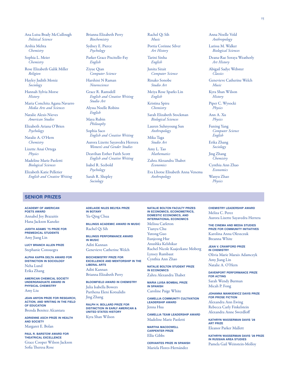Ana Luisa Brady McCullough *Political Science* 

Arshia Mehta *Chemistry* 

Sophia L. Meier *Chemistry* 

Rose Elizabeth Galik Miller *Religion* 

Hayley Judith Moniz *Sociology* 

Hannah Sylvia Morse *History* 

Maria Conchita Agana Navarro *Media Arts and Sciences* 

Natalie Alexis Nieves *American Studies* 

Elizabeth Ariana O'Brien *Psychology* 

Natalie A. O'Hern *Chemistry* 

Lizette Anai Ortega *Physics* 

Madeline Marie Paoletti *Biological Sciences* 

Elizabeth Katie Pelletier *English and Creative Writing* 

# **SENIOR PRIZES**

**ACADEMY OF AMERICAN POETS AWARD**  Annabel Joy Brazaitis Hana Jackson Kaneko

**JUDITH ADAMS '75 PRIZE FOR PREMEDICAL STUDENTS**  Amy Jiang Lin

**LUCY BRANCH ALLEN PRIZE**  Stephanie Consuegra

**ALPHA KAPPA DELTA AWARD FOR DISTINCTION IN SOCIOLOGY**  Neha Lund Erika Zhang

**AMERICAN CHEMICAL SOCIETY UNDERGRADUATE AWARD IN PHYSICAL CHEMISTRY** 

Amy Liu

**JEAN ANYON PRIZE FOR RESEARCH, ACTION, AND WRITING IN THE FIELD OF EDUCATION**  Brenda Benitez Alcantara

**ADRIENNE ASCH PRIZE IN HEALTH AND SOCIETY**  Margaret E. Bolan

**PAUL R. BARSTOW AWARD FOR THEATRICAL EXCELLENCE**  Grace Cooper Wilson Jackson Sofia Theresa Rose

Brianna Elizabeth Perry *Biochemistry* 

Sydney E. Pierce *Psychology* 

Parker Grace Piscitello-Fay *English* 

Ziyue Qian *Computer Science* 

Harshini N Raman *Neuroscience* 

Grace R. Ramsdell *English and Creative Writing Studio Art* 

Alyssa Noelle Robins *English* 

Maya Rubin

*Philosophy*  Sophia Saco *English and Creative Writing* 

Aurora Lizette Sayavedra Herrera *Women's and Gender Studies* 

Deavihan Esther Faith Scott *English and Creative Writing* 

Isabel R. Seebold *Psychology* 

Sarah R. Shepley *Sociology* 

Rachel Qi Sih *Music* 

Portia Corinne Silver *Art History* 

Tarini Sinha *English* 

Junita Sirait *Computer Science* 

Rinako Sonobe *Studio Art* 

Meiya Rose Sparks Lin *English* 

Kristina Spiru *Chemistry* 

Sarah Elizabeth Stockman *Biological Sciences* 

Lauren Suhnyoung Sun *Anthropology* 

Mika Taga *Studio Art* 

Amy L. Tao *Mathematics* 

Zahra Alexandra Thabet *Economics* 

Eva Lhotse Elisabeth Anna Venema *Anthropology* 

Anna Noelle Vold *Anthropology* 

Larissa M. Walker *Biological Sciences* 

Deana-Rae Soraya Weatherly *Art History* 

Abigail Sadye Webster *Classics* 

Genevieve Catherine Welch *Music* 

Kyra Shan Wilson *History* 

Piper C. Wysocki *Physics* 

Ann A. Xu *Physics* 

Funing Yang *Computer Science English* 

Erika Zhang *Sociology* 

Jing Zhang *Chemistry* 

Cynthia Ann Zhao *Economics* 

Wanyu Zhao *Physics* 

**ADELAIDE NILES BELYEA PRIZE IN BOTANY**  Yu-Qing Chua

**BILLINGS ACADEMIC AWARD IN MUSIC**  Rachel Qi Sih

**BILLINGS PERFORMANCE AWARD IN MUSIC**  Aditi Kannan

Genevieve Catherine Welch

**BIOCHEMISTRY PRIZE FOR EXCELLENCE AND MENTORSHIP IN THE LIBERAL ARTS**  Aditi Kannan Brianna Elizabeth Perry

**BLOOMFIELD AWARD IN CHEMISTRY**  Julia Isabella Bowers Parthena Eleni Kotsalidis Jing Zhang

**RALPH H. BOLLARD PRIZE FOR DISTINCTION IN EARLY AMERICAN & UNITED STATES HISTORY**  Kyra Shan Wilson

**NATALIE BOLTON FACULTY PRIZES IN ECONOMICS, ECONOMETRICS, DOMESTIC ECONOMICS, AND INTERNATIONAL ECONOMICS**  Melissa Carleton Tianyu Chu Yutong Guo Eunjeong Hur Anushka Kelshikar Rachel Nicole Kaajeekane Moberg Lynsey Rumbaut Cynthia Ann Zhao

**NATALIE BOLTON STUDENT PRIZE IN ECONOMICS**  Zahra Alexandra Thabet

**MARIA LUISA BOMBAL PRIZE IN SPANISH**  Caroline Paige White

**CAMELLIA COMMUNITY CULTIVATION LEADERSHIP AWARD**  Jenna Hua

**CAMELLIA TEAM LEADERSHIP AWARD**  Madeline Marie Paoletti

**MARTHA MACDOWELL CARPENTER PRIZE**  Ellie Gibbs

**CERVANTES PRIZE IN SPANISH**  Mariela Flores-Hernández

**CHEMISTRY LEADERSHIP AWARD**  Meliza C. Perez

Aurora Lizette Sayavedra Herrera **THE CINEMA AND MEDIA STUDIES** 

**PRIZE FOR COMMUNITY INITIATIVES**  Karolina Anna Oleszczuk Breanna White

**JEAN V. CRAWFORD PRIZE IN CHEMISTRY** 

Olivia Marie Marais Adamczyk Amy Jiang Lin Natalie A. O'Hern

**DAVENPORT PERFORMANCE PRIZE FOR ACTING**  Sarah Wendy Burman Micah P. Fong

**JOHANNA MANKIEWICZ DAVIS PRIZE FOR PROSE FICTION**  Alexandra Ann Ewing Rebecca Carly Finkelstein Alexandra Anne Swerdlof

**KATHRYN WASSERMAN DAVIS '28 ART PRIZE**  Eleanor Parker Mallett

**KATHRYN WASSERMAN DAVIS '28 PRIZE IN RUSSIAN AREA STUDIES**  Pamela Gail Weinstein-Molloy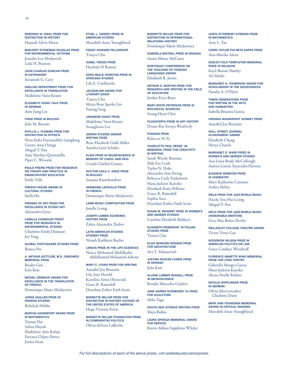**DEBORAH W. DIEHL PRIZE FOR DISTINCTION IN HISTORY**  Hannah Sylvia Morse

**MARJORY STONEMAN DOUGLAS PRIZE FOR ENVIRONMENTAL ACTIVISM** 

Jennifer Lee Horkovich Laila N. Pearson

**JOHN CHARLES DUNCAN PRIZE IN ASTRONOMY**  Savannah G. Cary

**ENGLISH DEPARTMENT PRIZE FOR EXCELLENCE IN TRANSLATION**  Madeleine Vann Kraatz

**ELIZABETH VOGEL FALK PRIZE IN GERMAN**  Amy Jiang Lin

**FISKE PRIZE IN BIOLOGY**  Julie M. Bocetti

**PHYLLIS J. FLEMING PRIZE FOR DISTINCTION IN PHYSICS**  Nora Erika Fayyazuddin Ljungberg Lizette Anai Ortega Abigail Y. Pan Amy Marilyn Quintanilla Piper C. Wysocki

**PAULO FREIRE PRIZE FOR RESEARCH ON THEORY AND PRACTICE IN EMANCIPATORY EDUCATION**  Emily Valle

**FRENCH HOUSE AWARD IN CULTURAL STUDIES**  Stella Ho

**FRIENDS OF ART PRIZE FOR EXCELLENCE IN STUDIO ART**  Alexandra Gross

**CAMILLA CHANDLER FROST PRIZE FOR RESEARCH IN ENVIRONMENTAL STUDIES** 

Charlotte Emily Diamant Joy Yang

**GLOBAL PORTUGUESE STUDIES PRIZE**  Bianca Pio

**A. ARTHUR GOTTLIEB, M.D., ENDOWED MEMORIAL PRIZE**  Risako Gen Erin Kim

**MICHEL GRIMAUD AWARD FOR EXCELLENCE IN THE TRANSLATION OF FRENCH**  Dominique Marie Mickiewicz

**JORGE GUILLEN PRIZE IN SPANISH STUDIES**  Rebekah Hobbs

**MARTHA DAVENPORT HEARD PRIZE IN MATHEMATICS**  Tantan Dai Selina Huynh Madeleine Ann Kolaja Farzana Chipty Patwa Junita Sirait

**ETHEL L. HERSEY PRIZE IN AMERICAN STUDIES**  Meredith Anne Youngblood

**PEGGY HOWARD FELLOWSHIP**  Tianyu Chu

**HUBEL THESIS PRIZE**  Harshini N Raman

**ZORA NEALE HURSTON PRIZE IN AFRICANA STUDIES**  Lily E. Cuellarsola

**JACQUELINE AWARD FOR LITERARY ESSAY**  Tianyu Chu Meiya Rose Sparks Lin Funing Yang

**JAPANESE ESSAY PRIZE**  Madeleine Vann Kraatz Seunghoon Lee

**JEWISH STUDIES SENIOR WRITING PRIZE**  Rose Elizabeth Galik Miller Annika Lynn Schafer

**KLEIN PRIZE IN NEUROSCIENCE IN MEMORY OF CAROL ANN PAUL**  Cesiah Claribel Gomez

**DOCTOR LEILA C. KNOX PRIZE IN BIOLOGY**  Sanjana Ramchandran

**GERMAINE LAFEUILLE PRIZE IN FRENCH**  Dominique Marie Mickiewicz

**LAMB MUSIC COMPOSITION PRIZE** 

**JOSEPH LAMBIE ECONOMIC HISTORY PRIZE** 

Janelle Leung

Zahra Alexandra Thabet **LATIN AMERICAN STUDIES** 

**STUDENT PRIZE**  Niamh Kathleen Bayliss

**LINGOS PRIZE IN THE LIFE SCIENCES**  Nancy Mohamed Abdelkader Abdelhamid Mohamed Ashour

**MARY C. LYONS PRIZE FOR WRITING**  Annabel Joy Brazaitis Lily Ann Herold Karolina Anna Oleszczuk Grace R. Ramsdell

Deavihan Esther Faith Scott

**BARNETTE MILLER PRIZE FOR DISTINCTION IN HISTORY OUTSIDE OF THE UNITED STATES OF AMERICA**  Hope Victoria Ferris

**BARNETTE MILLER FOUNDATION PRIZE IN COMPARATIVE POLITICS**  Olivia deFrees LaRoche

**BARNETTE MILLER PRIZE FOR DISTINCTION IN INTERNATIONAL RELATIONS–HISTORY**  Dominique Marie Mickiewicz

**GABRIELA MISTRAL PRIZE IN SPANISH**  Amira Mutuc McCants

**NORTHEAST CONFERENCE ON THE TEACHING OF FOREIGN LANGUAGES AWARD**  Elizabeth R. Jessen

**ARTHUR O. NORTON PRIZE FOR RESEARCH AND WRITING IN THE FIELD OF EDUCATION**  Jordan Erica Bates

**MARY WHITE PETERSON PRIZE IN BIOLOGICAL SCIENCES**  Seung Hyun Choi

**PLOGSTERTH PRIZE IN ART HISTORY**  Deana-Rae Soraya Weatherly

**PUSHKIN PRIZE**  Rebecca Ni Ye

**CHARLOTTE PAUL REESE '38 MEMORIAL PRIZE FOR CREATIVITY IN WRITING**  Sarah Wendy Burman Mila Eve Cuda Taylor N. Doke

Alexandra Ann Ewing Rebecca Carly Finkelstein Hana Jackson Kaneko Elizabeth Katie Pelletier Grace R. Ramsdell Sophia Saco Deavihan Esther Faith Scott

**SUSAN M. REVERBY PRIZE IN WOMEN'S AND GENDER STUDIES**  Caroline Elizabeth Baldacci

**ELIZABETH ROBINSON '78 ITALIAN STUDIES PRIZE**  Tianyu Chu

**ELIZA NEWKIRK ROGERS PRIZE FOR ARCHITECTURE**  Ava T. Yokanovich

**JUSTINA RUIZ-DE-CONDE PRIZE IN SPANISH**  Julia Kim

**ALLENE LUMMIS RUSSELL PRIZE IN NEUROSCIENCE**  Rosalie Mercedes Grijalva

**JANE HARRIS SCHNEIDER '54 PRIZE FOR SCULPTURE**  Mika Taga

**SOUTH ASIA STUDIES WRITING PRIZE**  Maya Rubin

**LAURA SPERAZI MEMORIAL AWARD FOR SERVICE**  Raven Aldene Sapphron Whyles **LEWIS ATTERBURY STIMSON PRIZE IN MATHEMATICS**  Amy L. Tao

**CORRI TAYLOR PHI BETA KAPPA PRIZE**  Ann-Marsha Alexis

**DUDLEY FOLK TEMPLETON MEMORIAL PRIZE IN RELIGION**  Kayli Brenáe Hattley Ari Marks

**MARGARET D. THOMPSON AWARD FOR SCHOLARSHIP IN THE GEOSCIENCES**  Natalie A. O'Hern

**THREE GENERATIONS PRIZE FOR WRITING IN THE ARTS AND HUMANITIES**  Isabella Brianna Garcia

**VIRGINIA WAINWRIGHT SONNET PRIZE**  Annabel Joy Brazaitis

**WALL STREET JOURNAL ACHIEVEMENT AWARD**  Elizabeth Chang Navya Chawla

**MARGARET E. WARD PRIZE IN WOMEN'S AND GENDER STUDIES**  Ana Luisa Brady McCullough Aurora Lizette Sayavedra Herrera

**ELEANOR WEBSTER PRIZE IN CHEMISTRY**  Mary Katherine Canzano Arshia Mehta

**WELD PRIZE FOR JAZZ/WORLD MUSIC**  Nicole You-Hui Leung Abigail Y. Pan

**WELD PRIZE FOR JAZZ/WORLD MUSIC (HONORABLE MENTION)**  Grey Mae Britos Devlin

**WELLESLEY COLLEGE THEATRE AWARD**  Victor Yiwei Gao

**WOODROW WILSON PRIZE IN AMERICAN POLITICS OR LAW**  Grace Candace Woodruf

**FLORENCE ANNETTE WING MEMORIAL PRIZE FOR LYRIC POETRY**  Gabriella Mengia Garcia Hana Jackson Kaneko Alyssa Noelle Robins

**NATALIE WIPPLINGER PRIZE IN GERMAN**  Olivia Merryweather Charlotte Davis

**MARY ANN YOUNGREN MEMORIAL AWARD IN CRITICAL READING**  Meredith Anne Youngblood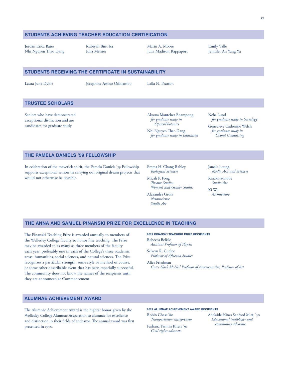# **STUDENTS ACHIEVING TEACHER EDUCATION CERTIFICATION**

Jordan Erica Bates Nhi Nguyen Thao Dang Rubiyah Bint Isa Julia Meister

Marin A. Moore Julia Madison Rappaport Emily Valle Jennifer An Yang Yu

# **STUDENTS RECEIVING THE CERTIFICATE IN SUSTAINABILITY**

Laura June Dyble Josephine Awino Odhiambo Laila N. Pearson

# **TRUSTEE SCHOLARS**

Seniors who have demonstrated exceptional distinction and are candidates for graduate study.

Akosua Mantebea Boampong Neha Lund<br>for graduate study in for gradu *for graduate study in for graduate study in Sociology* 

Nhi Nguyen Tao Dang *for graduate study in for graduate study in Education* 

Genevieve Catherine Welch

# **THE PAMELA DANIELS '59 FELLOWSHIP**

In celebration of the maverick spirit, the Pamela Daniels '59 Fellowship supports exceptional seniors in carrying out original dream projects that would not otherwise be possible.

Emma H. Chang-Rabley *Biological Sciences* 

Micah P. Fong *Teatre Studies Women's and Gender Studies* 

Alexandra Gross

*Neuroscience Studio Art* 

Janelle Leung *Media Arts and Sciences* 

Rinako Sonobe *Studio Art* 

Xi Wu *Architecture* 

# **THE ANNA AND SAMUEL PINANSKI PRIZE FOR EXCELLENCE IN TEACHING**

The Pinanski Teaching Prize is awarded annually to members of the Wellesley College faculty to honor fine teaching. The Prize may be awarded to as many as three members of the faculty each year, preferably one in each of the College's three academic areas: humanities, social sciences, and natural sciences. The Prize recognizes a particular strength, some style or method or course, or some other describable event that has been especially successful. The community does not know the names of the recipients until they are announced at Commencement.

## **2021 PINANSKI TEACHING PRIZE RECIPIENTS**

Rebecca Belisle *Assistant Professor of Physics* 

Selwyn R. Cudjoe *Professor of Africana Studies* 

Alice Friedman

*Grace Slack McNeil Professor of American Art; Professor of Art* 

# **ALUMNAE ACHIEVEMENT AWARD**

The Alumnae Achievement Award is the highest honor given by the Wellesley College Alumnae Association to alumnae for excellence and distinction in their fields of endeavor. The annual award was first presented in 1970.

# **2021 ALUMNAE ACHIEVEMENT AWARD RECIPIENTS**

*community advocate* Farhana Yasmin Khera '91 *Civil rights advocate* 

Robin Chase '80 Adelaide Hines Sanford M.A. '50 *Transportation entrepreneur Educational trailblazer and*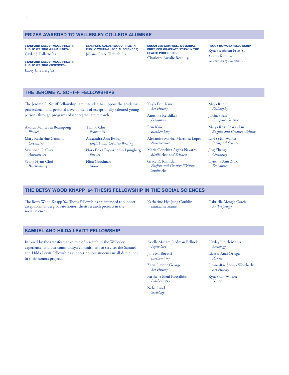**STANFORD CALDERWOOD PRIZE IN PUBLIC WRITING (HUMANITIES)**  Caylee J. Pallatto '21

**STANFORD CALDERWOOD PRIZE IN PUBLIC WRITING (SCIENCES)**  Lacey Jane Berg '21

**STANFORD CALDERWOOD PRIZE IN PUBLIC WRITING (SOCIAL SCIENCES)**  Juliana Grace Tedeschi '21

**SUSAN LEE CAMPBELL MEMORIAL PRIZE FOR GRADUATE STUDY IN THE HEALTH PROFESSIONS**  Charlotte Rosalie Reed '19

# **PEGGY HOWARD FELLOWSHIP**

Kyra Steadman Frye '20 Soomi Kim '14 Lauren Beryl Larson '19

# **THE JEROME A. SCHIFF FELLOWSHIPS**

The Jerome A. Schiff Fellowships are intended to support the academic, professional, and personal development of exceptionally talented young persons through programs of undergraduate research.

Akosua Mantebea Boampong Tianyu Chu *Physics Economics* 

*Astrophysics Physics* 

Seung Hyun Choi Nina Goodman  $Biochemistry$ 

Mary Katherine Canzano Alexandra Ann Ewing *Chemistry English and Creative Writing* 

Savannah G. Cary Nora Erika Fayyazuddin Ljungberg<br>Astrophysics Physics Physics

Kayla Erin Kane *Art History* 

Anushka Kelshikar *Economics* 

Erin Kim *Biochemistry* 

Alexandra Marina Martinez Lopez *Neuroscience* 

Maria Conchita Agana Navarro *Media Arts and Sciences* 

Grace R. Ramsdell *English and Creative Writing Studio Art* 

Maya Rubin *Philosophy* 

Junita Sirait *Computer Science* 

Meiya Rose Sparks Lin *English and Creative Writing* 

Larissa M. Walker *Biological Sciences* 

Jing Zhang *Chemistry* 

Cynthia Ann Zhao *Economics* 

# **THE BETSY WOOD KNAPP '64 THESIS FELLOWSHIP IN THE SOCIAL SCIENCES**

The Betsy Wood Knapp '64 Thesis Fellowships are intended to support Katharine Hye Jung Conklin Gabriella Mengia Garcia<br>exceptional undergraduate honors thesis research projects in the *Education Studies Anthropology* exceptional undergraduate honors thesis research projects in the *Education Studies* social sciences.

# **SAMUEL AND HILDA LEVITT FELLOWSHIP**

Inspired by the transformative role of research in the Wellesley experience, and our community's commitment to service, the Samuel and Hilda Levitt Fellowships support honors students in all disciplines in their honors projects.

Arielle Miriam Dedman Belluck *Psychology* 

Julie M. Bocetti *Biochemistry* 

Zaria Simone George *Art History* 

Parthena Eleni Kotsalidis *Biochemistry* 

Neha Lund *Sociology* 

Hayley Judith Moniz *Sociology* 

Lizette Anai Ortega *Physics* 

Deana-Rae Soraya Weatherly *Art History* 

Kyra Shan Wilson *History*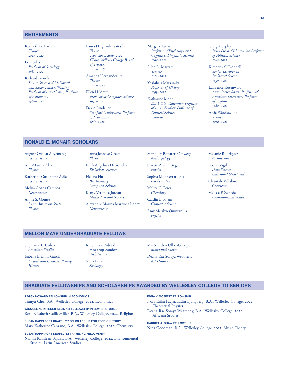# **RETIREMENTS**

Kenneth G. Bartels *Trustee 2010–2022* 

- Lee Cuba *Professor of Sociology 1981–2022*
- Richard French *Louise Sherwood McDowell and Sarah Frances Whiting Professor of Astrophysics; Professor of Astronomy 1980–2022*

Laura Daignault Gates '72 *Trustee 2006–2009, 2010–2022, Chair, Welleley College Board of Trustees 2011–2018* 

Amanda Hernandez '18 *Trustee 2019–2022* 

Ellen Hildreth *Professor of Computer Science 1991–2022* 

David Lindauer *Stanford Calderwood Professor of Economics 1981–2022* 

Margery Lucas *Professor of Psychology and Cognitive; Linguistic Sciences 1984–2022* 

Ellen R. Marram '68 *Trustee 2010–2022* 

Yoshihisa Matsusaka *Professor of History 1993–2022* 

Katharine Moon *Edith Stix Wasserman Professor of Asian Studies; Professor of Political Science 1993–2021* 

Craig Murphy *Betty Freyhof Johnson '44 Professor of Political Science 1981–2022* 

Kimberly O'Donnell *Senior Lecturer in Biological Sciences 1997–2022* 

Lawrence Rosenwald *Anne Pierce Rogers Professor of American Literature; Professor of English 1980–2022* 

*Trustee 2016–2022* 

# **RONALD E. MCNAIR SCHOLARS**

August Owusu Agyemang *Neuroscience* 

Ann-Marsha Alexis *Physics* 

Katherine Guadalupe Ávila *Neuroscience* 

Melisa Goana Campos *Neuroscience* 

Annie S. Gomez *Latin American Studies Physics* 

Tianna Jennaye Green *Physics* 

Faith Angelina Hernández *Biological Sciences* 

Helena Hu *Biochemistry Computer Science*

Kensy Veronica Jordan *Media Arts and Sciences* 

Alexandra Marina Martinez Lopez *Neuroscience* 

Marglucy Bonareri Omwega *Anthropology* 

Lizette Anai Ortega *Physics* 

Sophia Montserrat Pe a *Biochemistry* 

Meliza C. Perez *Chemistry* 

Caitlin L. Pham *Computer Science* 

Amy Marilyn Quintanilla *Physics* 

Melanie Rodriguez *Architecture* 

Briana Vigil *Data Science– Individual Structured* 

Chantaly Villalona *Geosciences* 

Melissa F. Zepeda *Environmental Studies* 

# **MELLON MAYS UNDERGRADUATE FELLOWS**

Stephanie E. Cobas *American Studies* 

Isabella Brianna Garcia *English and Creative Writing History* 

Iris Simone Adejola Haastrup-Sanders

Alvia Wardlaw '69

*Architecture*  Neha Lund

*Sociology* 

Matéo Belén Ulloa-Gariepy *Individual Major* 

Deana-Rae Soraya Weatherly *Art History* 

# **GRADUATE FELLOWSHIPS AND SCHOLARSHIPS AWARDED BY WELLESLEY COLLEGE TO SENIORS**

**PEGGY HOWARD FELLOWSHIP IN ECONOMICS**  Tianyu Chu, B.A., Wellesley College, 2022. Economics

**JACQUELINE KRIEGER KLEIN '53 FELLOWSHIP IN JEWISH STUDIES**  Rose Elizabeth Galik Miller, B.A., Wellesley College, 2022. Religion

**SUSAN RAPPAPORT KNAFEL '52 SCHOLARSHIP FOR FOREIGN STUDY**  Mary Katherine Canzano, B.A., Wellesley College, 2022. Chemistry

# **SUSAN RAPPAPORT KNAFEL '52 TRAVELING FELLOWSHIP**

Niamh Kathleen Bayliss, B.A., Wellesley College, 2022. Environmental Studies, Latin American Studies

### **EDNA V. MOFFETT FELLOWSHIP**

Nora Erika Fayyazuddin Ljungberg, B.A., Wellesley College, 2022. **Theoretical Physics** 

Deana-Rae Soraya Weatherly, B.A., Wellesley College, 2022. Africana Studies

# **HARRIET A. SHAW FELLOWSHIP**

Nina Goodman, B.A., Wellesley College, 2022. Music Theory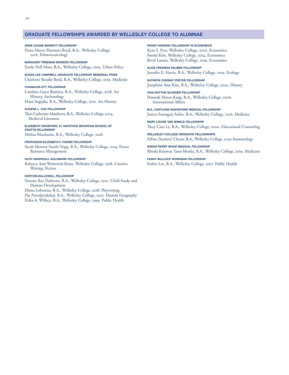# **GRADUATE FELLOWSHIPS AWARDED BY WELLESLEY COLLEGE TO ALUMNAE**

**ANNE LOUISE BARRETT FELLOWSHIP**  Fiona Maeve Harrison Boyd, B.A., Wellesley College, 2016. Ethnomusicology

**MARGARET FREEMAN BOWERS FELLOWSHIP**  Emily Nell Moss, B.A., Wellesley College, 2019. Urban Policy

**SUSAN LEE CAMPBELL GRADUATE FELLOWSHIP MEMORIAL PRIZE**  Charlotte Rosalie Reed, B.A., Wellesley College, 2019. Medicine

**CHANDLER-OTT FELLOWSHIP**  Caroline Grace Beatrice, B.A., Wellesley College, 2018. Art History, Archaeology

Hana Sugioka, B.A., Wellesley College, 2021. Art History

# **EUGENE L. COX FELLOWSHIP**

Tai-Catherine Matthews, B.A., Wellesley College, 2014. Medieval Literature

**ELIZABETH CRAWFORD '21 HAYSTACK MOUNTAIN SCHOOL OF CRAFTS FELLOWSHIP**  Melina Mardueño, B.A., Wellesley College, 2018.

**PROFESSOR ELIZABETH F. FISHER FELLOWSHIP**  Sarah Monroe Smith-Tripp, B.A., Wellesley College, 2019. Forest Resource Management

# **RUTH INGERSOLL GOLDMARK FELLOWSHIP**

Rebecca Ann Winterich-Knox, Wellesley College, 2018. Creative Writing: Fiction

# **HORTON-HALLOWELL FELLOWSHIP**

Simone Rae Dufresne, B.A., Wellesley College, 2012. Child Study and Human Development

Diana Lobontiu, B.A., Wellesley College, 2018. Playwriting Pin Pravalprukskul, B.A., Wellesley College, 2012. Human Geography Erika A. Willacy, B.A., Wellesley College, 1999. Public Health

**PEGGY HOWARD FELLOWSHIP IN ECONOMICS** 

Kyra S. Frye, Wellesley College, 2020. Economics Soomi Kim, Wellesley College, 2014. Economics Beryl Larson, Wellesley College, 2019. Economics

**ALICE FREEMAN PALMER FELLOWSHIP**  Jennifer E. Harris, B.A., Wellesley College, 2019. Ecology

**KATHRYN CONWAY PREYER FELLOWSHIP**  Josephine Ann Kim, B.A., Wellesley College, 2020. History

**VIDA DUTTON SCUDDER FELLOWSHIP**  Hannah Misun Kang, B.A., Wellesley College, 2006. International Afairs

**M.A. CARTLAND SHACKFORD MEDICAL FELLOWSHIP**  Jessica Farangaiz Saifee, B.A., Wellesley College, 2016. Medicine

**MARY LOUISE VAN WINKLE FELLOWSHIP**  Thuy Cam Le, B.A., Wellesley College, 2000. Educational Counseling

**WELLESLEY COLLEGE GRADUATE FELLOWSHIPS**  SeYun (Scarlett) Cheon, B.A., Wellesley College, 2019. Immunology

**SARAH PERRY WOOD MEDICAL FELLOWSHIP**  Rhoda Kesewaa Tano-Menka, B.A., Wellesley College, 2019. Medicine

**FANNY BULLOCK WORKMAN FELLOWSHIP**  Esther Lee, B.A., Wellesley College, 2017. Public Health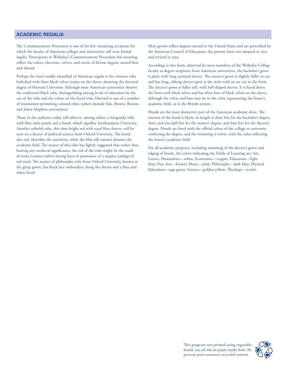# **ACADEMIC REGALIA**

The Commencement Procession is one of the few remaining occasions for which the faculty of American colleges and universities still wear formal regalia. Participants in Wellesley's Commencement Procession this morning refect the colors, chevrons, velvets, and wools of diverse degrees earned here and abroad.

Perhaps the most readily identifed of American regalia is the crimson robe bedecked with three black velvet stripes on the sleeve, denoting the doctoral degree of Harvard University. Although most American universities observe the traditional black robe, distinguishing among levels of education by the cut of the robe and the colors on the hood trim, Harvard is one of a number of institutions permitting colored robes (others include Yale, Brown, Boston, and Johns Hopkins universities).

Those in the audience today will observe, among others, a burgundy robe with blue satin panels and a hood, which signifes Southampton University. Another colorful robe, this time bright red with royal blue sleeves, will be seen on a doctor of political science from Oxford University. The hood, also red, identifes the university, while the blue silk interior denotes the academic field. The wearer of this robe has lightly suggested that rather than bearing any medieval signifcance, the red of the robe might be the result of some London tailor's having been in possession of a surplus yardage of red wool. The master of philosophy robe from Oxford University, known as the gimp gown, has black lace embroidery along the sleeves and a blue and white hood.

Most gowns refect degrees earned in the United States and are prescribed by the American Council of Education; the present form was adopted in 1932 and revised in 1959.

According to this form, observed by most members of the Wellesley College faculty as degree recipients from American universities, the bachelor's gown is plain with long, pointed sleeves. The master's gown is slightly fuller in cut and has long, oblong sleeves open at the wrist with an arc cut in the front. The doctor's gown is fuller still, with bell-shaped sleeves. It is faced down the front with black velvet and has three bars of black velvet on the sleeve, although the velvet and bars may be in the color representing the bearer's academic feld, as in the British system.

Hoods are the most distinctive part of the American academic dress. The exterior of the hood is black; its length is three feet for the bachelor's degree, three and one-half feet for the master's degree, and four feet for the doctor's degree. Hoods are lined with the official colors of the college or university conferring the degree, and the trimming is velvet, with the color refecting the bearer's academic feld.

For all academic purposes, including trimming of the doctor's gown and edging of hoods, the colors indicating the Fields of Learning are: Art, Letters, Humanities—white; Economics—copper; Education—light blue; Fine Arts—brown; Music—pink; Philosophy—dark blue; Physical Education—sage green; Science—golden yellow; Theology—scarlet.

> This program was printed using vegetablebased, soy oil ink on paper made from 30 percent post-consumer recycled content.